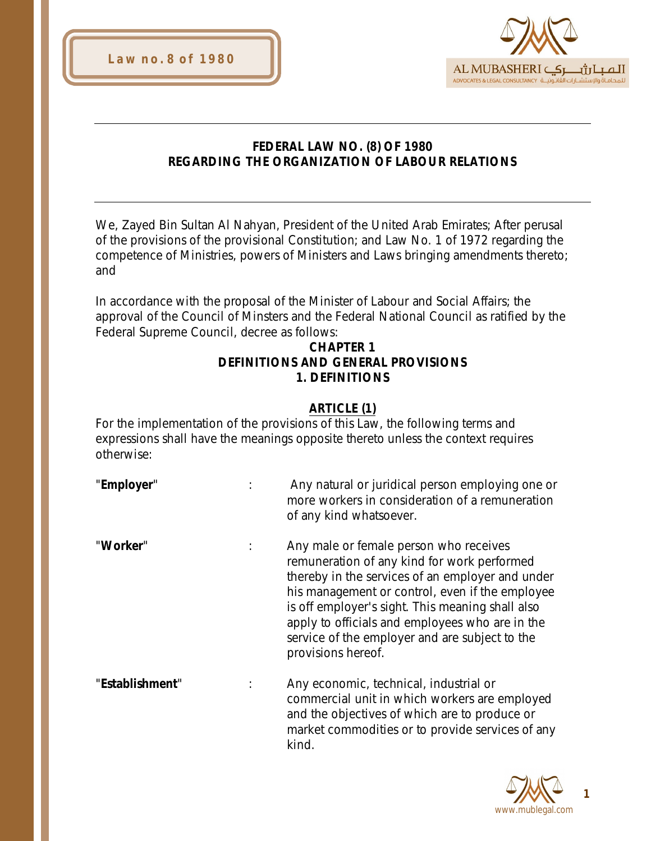



### **FEDERAL LAW NO. (8) OF 1980 REGARDING THE ORGANIZATION OF LABOUR RELATIONS**

We, Zayed Bin Sultan Al Nahyan, President of the United Arab Emirates; After perusal of the provisions of the provisional Constitution; and Law No. 1 of 1972 regarding the competence of Ministries, powers of Ministers and Laws bringing amendments thereto; and

In accordance with the proposal of the Minister of Labour and Social Affairs; the approval of the Council of Minsters and the Federal National Council as ratified by the Federal Supreme Council, decree as follows:

### **CHAPTER 1 DEFINITIONS AND GENERAL PROVISIONS 1. DEFINITIONS**

# **ARTICLE (1)**

For the implementation of the provisions of this Law, the following terms and expressions shall have the meanings opposite thereto unless the context requires otherwise:

"**Employer**" : Any natural or juridical person employing one or more workers in consideration of a remuneration of any kind whatsoever.

"**Worker**" : Any male or female person who receives remuneration of any kind for work performed thereby in the services of an employer and under his management or control, even if the employee is off employer's sight. This meaning shall also apply to officials and employees who are in the service of the employer and are subject to the provisions hereof.

"**Establishment**" : Any economic, technical, industrial or commercial unit in which workers are employed and the objectives of which are to produce or market commodities or to provide services of any kind.

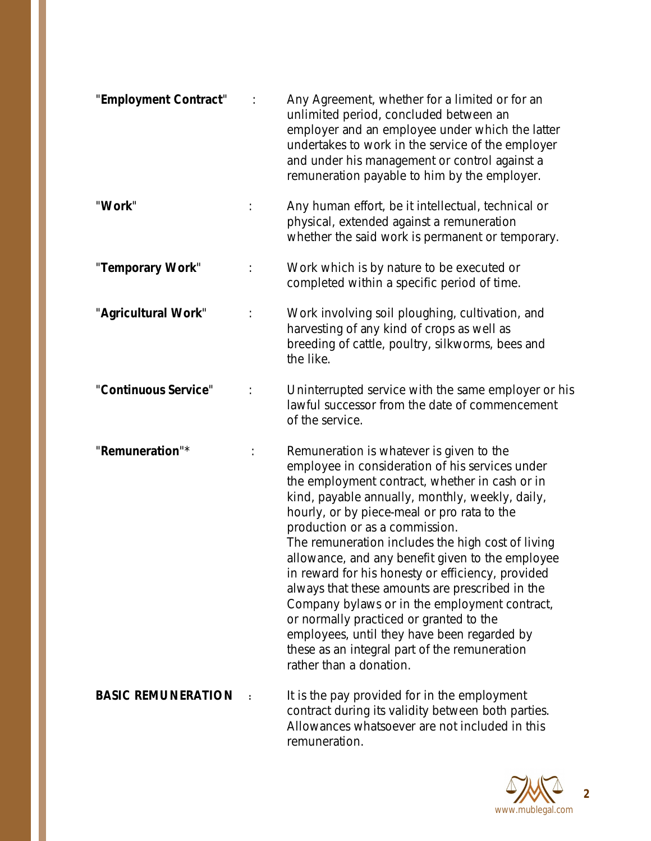| "Employment Contract"     |                | Any Agreement, whether for a limited or for an<br>unlimited period, concluded between an<br>employer and an employee under which the latter<br>undertakes to work in the service of the employer<br>and under his management or control against a<br>remuneration payable to him by the employer.                                                                                                                                                                                                                                                                                                                                                                                                                         |
|---------------------------|----------------|---------------------------------------------------------------------------------------------------------------------------------------------------------------------------------------------------------------------------------------------------------------------------------------------------------------------------------------------------------------------------------------------------------------------------------------------------------------------------------------------------------------------------------------------------------------------------------------------------------------------------------------------------------------------------------------------------------------------------|
| "Work"                    |                | Any human effort, be it intellectual, technical or<br>physical, extended against a remuneration<br>whether the said work is permanent or temporary.                                                                                                                                                                                                                                                                                                                                                                                                                                                                                                                                                                       |
| "Temporary Work"          |                | Work which is by nature to be executed or<br>completed within a specific period of time.                                                                                                                                                                                                                                                                                                                                                                                                                                                                                                                                                                                                                                  |
| "Agricultural Work"       |                | Work involving soil ploughing, cultivation, and<br>harvesting of any kind of crops as well as<br>breeding of cattle, poultry, silkworms, bees and<br>the like.                                                                                                                                                                                                                                                                                                                                                                                                                                                                                                                                                            |
| "Continuous Service"      |                | Uninterrupted service with the same employer or his<br>lawful successor from the date of commencement<br>of the service.                                                                                                                                                                                                                                                                                                                                                                                                                                                                                                                                                                                                  |
| "Remuneration"*           | $\ddot{\cdot}$ | Remuneration is whatever is given to the<br>employee in consideration of his services under<br>the employment contract, whether in cash or in<br>kind, payable annually, monthly, weekly, daily,<br>hourly, or by piece-meal or pro rata to the<br>production or as a commission.<br>The remuneration includes the high cost of living<br>allowance, and any benefit given to the employee<br>in reward for his honesty or efficiency, provided<br>always that these amounts are prescribed in the<br>Company bylaws or in the employment contract,<br>or normally practiced or granted to the<br>employees, until they have been regarded by<br>these as an integral part of the remuneration<br>rather than a donation. |
| <b>BASIC REMUNERATION</b> |                | It is the pay provided for in the employment<br>contract during its validity between both parties.<br>Allowances whatsoever are not included in this                                                                                                                                                                                                                                                                                                                                                                                                                                                                                                                                                                      |

remuneration.

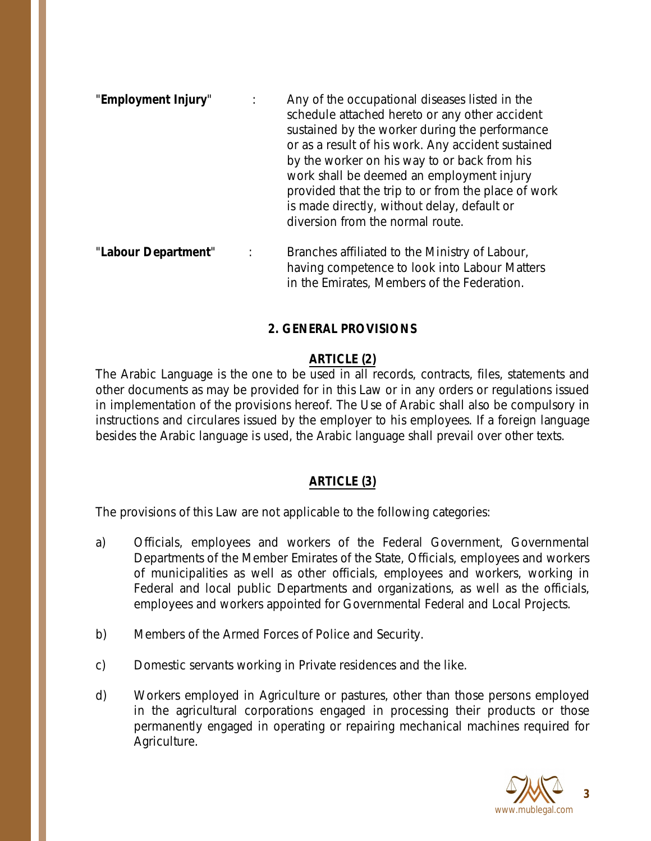- "**Employment Injury**" : Any of the occupational diseases listed in the schedule attached hereto or any other accident sustained by the worker during the performance or as a result of his work. Any accident sustained by the worker on his way to or back from his work shall be deemed an employment injury provided that the trip to or from the place of work is made directly, without delay, default or diversion from the normal route.
- "**Labour Department**" : Branches affiliated to the Ministry of Labour, having competence to look into Labour Matters in the Emirates, Members of the Federation.

## **2. GENERAL PROVISIONS**

## **ARTICLE (2)**

The Arabic Language is the one to be used in all records, contracts, files, statements and other documents as may be provided for in this Law or in any orders or regulations issued in implementation of the provisions hereof. The Use of Arabic shall also be compulsory in instructions and circulares issued by the employer to his employees. If a foreign language besides the Arabic language is used, the Arabic language shall prevail over other texts.

## **ARTICLE (3)**

The provisions of this Law are not applicable to the following categories:

- a) Officials, employees and workers of the Federal Government, Governmental Departments of the Member Emirates of the State, Officials, employees and workers of municipalities as well as other officials, employees and workers, working in Federal and local public Departments and organizations, as well as the officials, employees and workers appointed for Governmental Federal and Local Projects.
- b) Members of the Armed Forces of Police and Security.
- c) Domestic servants working in Private residences and the like.
- d) Workers employed in Agriculture or pastures, other than those persons employed in the agricultural corporations engaged in processing their products or those permanently engaged in operating or repairing mechanical machines required for Agriculture.

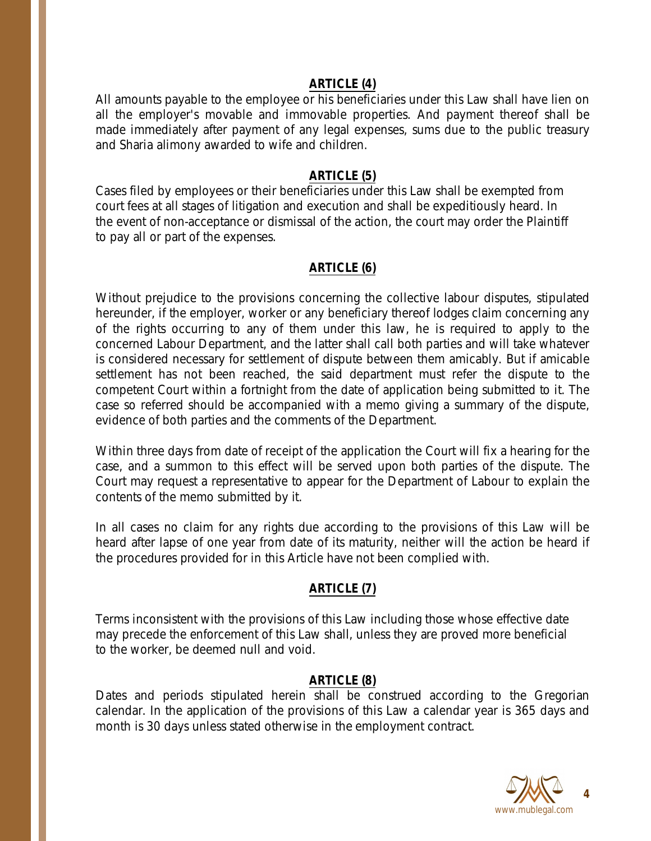#### **ARTICLE (4)**

All amounts payable to the employee or his beneficiaries under this Law shall have lien on all the employer's movable and immovable properties. And payment thereof shall be made immediately after payment of any legal expenses, sums due to the public treasury and Sharia alimony awarded to wife and children.

#### **ARTICLE (5)**

Cases filed by employees or their beneficiaries under this Law shall be exempted from court fees at all stages of litigation and execution and shall be expeditiously heard. In the event of non-acceptance or dismissal of the action, the court may order the Plaintiff to pay all or part of the expenses.

#### **ARTICLE (6)**

Without prejudice to the provisions concerning the collective labour disputes, stipulated hereunder, if the employer, worker or any beneficiary thereof lodges claim concerning any of the rights occurring to any of them under this law, he is required to apply to the concerned Labour Department, and the latter shall call both parties and will take whatever is considered necessary for settlement of dispute between them amicably. But if amicable settlement has not been reached, the said department must refer the dispute to the competent Court within a fortnight from the date of application being submitted to it. The case so referred should be accompanied with a memo giving a summary of the dispute, evidence of both parties and the comments of the Department.

Within three days from date of receipt of the application the Court will fix a hearing for the case, and a summon to this effect will be served upon both parties of the dispute. The Court may request a representative to appear for the Department of Labour to explain the contents of the memo submitted by it.

In all cases no claim for any rights due according to the provisions of this Law will be heard after lapse of one year from date of its maturity, neither will the action be heard if the procedures provided for in this Article have not been complied with.

#### **ARTICLE (7)**

Terms inconsistent with the provisions of this Law including those whose effective date may precede the enforcement of this Law shall, unless they are proved more beneficial to the worker, be deemed null and void.

#### **ARTICLE (8)**

Dates and periods stipulated herein shall be construed according to the Gregorian calendar. In the application of the provisions of this Law a calendar year is 365 days and month is 30 days unless stated otherwise in the employment contract.

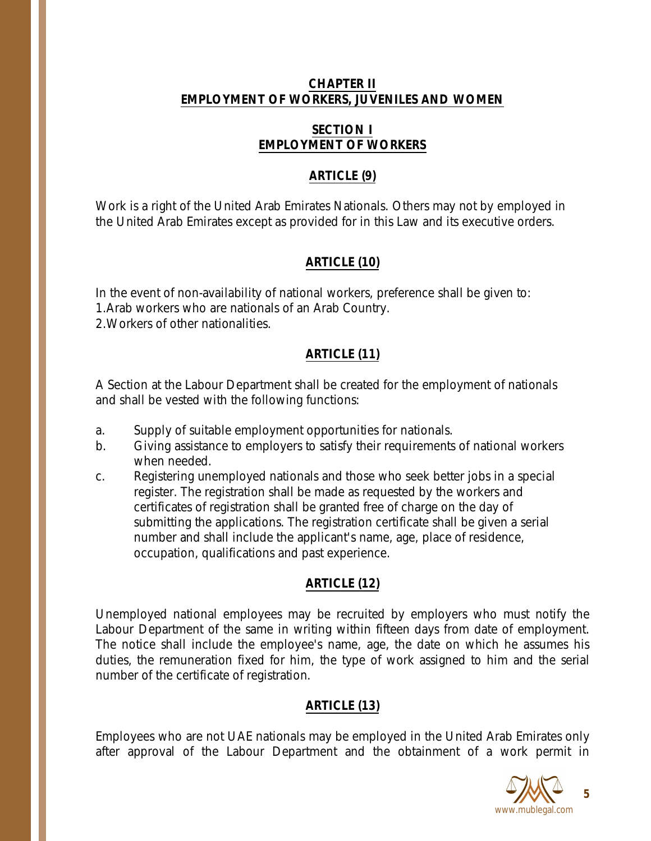### **CHAPTER II EMPLOYMENT OF WORKERS, JUVENILES AND WOMEN**

### **SECTION I EMPLOYMENT OF WORKERS**

## **ARTICLE (9)**

Work is a right of the United Arab Emirates Nationals. Others may not by employed in the United Arab Emirates except as provided for in this Law and its executive orders.

## **ARTICLE (10)**

In the event of non-availability of national workers, preference shall be given to: 1.Arab workers who are nationals of an Arab Country. 2.Workers of other nationalities.

# **ARTICLE (11)**

A Section at the Labour Department shall be created for the employment of nationals and shall be vested with the following functions:

- a. Supply of suitable employment opportunities for nationals.
- b. Giving assistance to employers to satisfy their requirements of national workers when needed.
- c. Registering unemployed nationals and those who seek better jobs in a special register. The registration shall be made as requested by the workers and certificates of registration shall be granted free of charge on the day of submitting the applications. The registration certificate shall be given a serial number and shall include the applicant's name, age, place of residence, occupation, qualifications and past experience.

# **ARTICLE (12)**

Unemployed national employees may be recruited by employers who must notify the Labour Department of the same in writing within fifteen days from date of employment. The notice shall include the employee's name, age, the date on which he assumes his duties, the remuneration fixed for him, the type of work assigned to him and the serial number of the certificate of registration.

# **ARTICLE (13)**

Employees who are not UAE nationals may be employed in the United Arab Emirates only after approval of the Labour Department and the obtainment of a work permit in

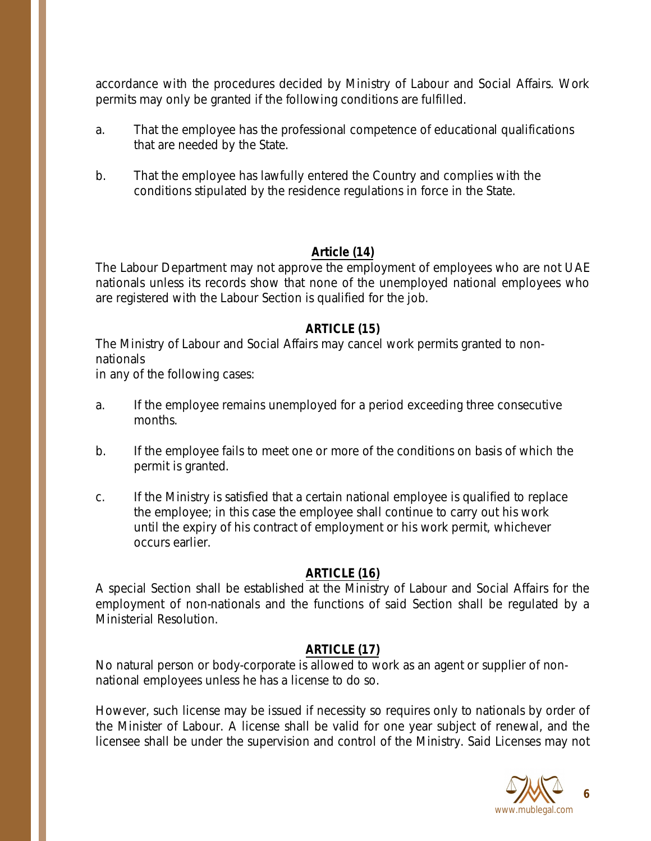accordance with the procedures decided by Ministry of Labour and Social Affairs. Work permits may only be granted if the following conditions are fulfilled.

- a. That the employee has the professional competence of educational qualifications that are needed by the State.
- b. That the employee has lawfully entered the Country and complies with the conditions stipulated by the residence regulations in force in the State.

### **Article (14)**

The Labour Department may not approve the employment of employees who are not UAE nationals unless its records show that none of the unemployed national employees who are registered with the Labour Section is qualified for the job.

### **ARTICLE (15)**

The Ministry of Labour and Social Affairs may cancel work permits granted to nonnationals

in any of the following cases:

- a. If the employee remains unemployed for a period exceeding three consecutive months.
- b. If the employee fails to meet one or more of the conditions on basis of which the permit is granted.
- c. If the Ministry is satisfied that a certain national employee is qualified to replace the employee; in this case the employee shall continue to carry out his work until the expiry of his contract of employment or his work permit, whichever occurs earlier.

## **ARTICLE (16)**

A special Section shall be established at the Ministry of Labour and Social Affairs for the employment of non-nationals and the functions of said Section shall be regulated by a Ministerial Resolution.

## **ARTICLE (17)**

No natural person or body-corporate is allowed to work as an agent or supplier of nonnational employees unless he has a license to do so.

However, such license may be issued if necessity so requires only to nationals by order of the Minister of Labour. A license shall be valid for one year subject of renewal, and the licensee shall be under the supervision and control of the Ministry. Said Licenses may not

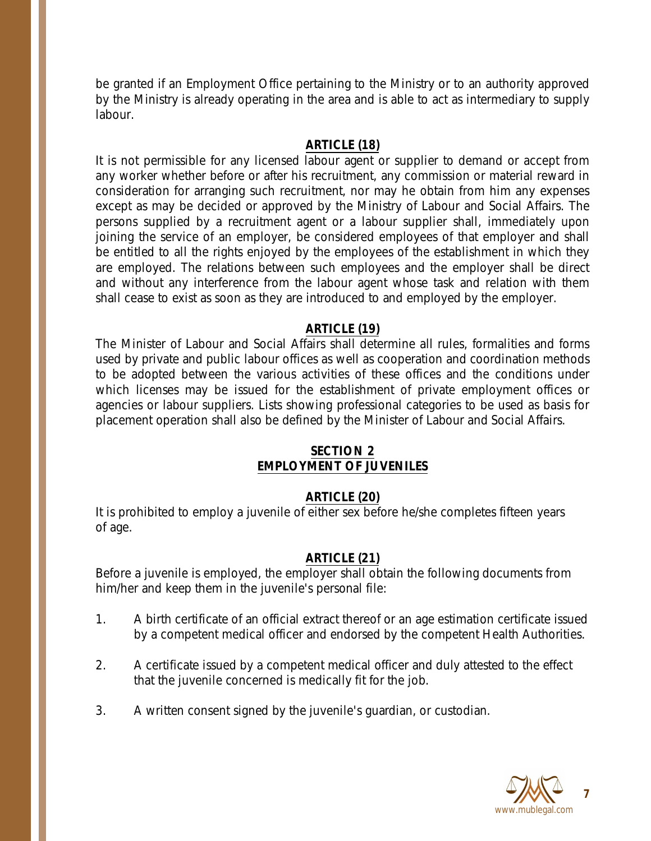be granted if an Employment Office pertaining to the Ministry or to an authority approved by the Ministry is already operating in the area and is able to act as intermediary to supply labour.

### **ARTICLE (18)**

It is not permissible for any licensed labour agent or supplier to demand or accept from any worker whether before or after his recruitment, any commission or material reward in consideration for arranging such recruitment, nor may he obtain from him any expenses except as may be decided or approved by the Ministry of Labour and Social Affairs. The persons supplied by a recruitment agent or a labour supplier shall, immediately upon joining the service of an employer, be considered employees of that employer and shall be entitled to all the rights enjoyed by the employees of the establishment in which they are employed. The relations between such employees and the employer shall be direct and without any interference from the labour agent whose task and relation with them shall cease to exist as soon as they are introduced to and employed by the employer.

### **ARTICLE (19)**

The Minister of Labour and Social Affairs shall determine all rules, formalities and forms used by private and public labour offices as well as cooperation and coordination methods to be adopted between the various activities of these offices and the conditions under which licenses may be issued for the establishment of private employment offices or agencies or labour suppliers. Lists showing professional categories to be used as basis for placement operation shall also be defined by the Minister of Labour and Social Affairs.

### **SECTION 2 EMPLOYMENT OF JUVENILES**

## **ARTICLE (20)**

It is prohibited to employ a juvenile of either sex before he/she completes fifteen years of age.

## **ARTICLE (21)**

Before a juvenile is employed, the employer shall obtain the following documents from him/her and keep them in the juvenile's personal file:

- 1. A birth certificate of an official extract thereof or an age estimation certificate issued by a competent medical officer and endorsed by the competent Health Authorities.
- 2. A certificate issued by a competent medical officer and duly attested to the effect that the juvenile concerned is medically fit for the job.
- 3. A written consent signed by the juvenile's guardian, or custodian.



**7**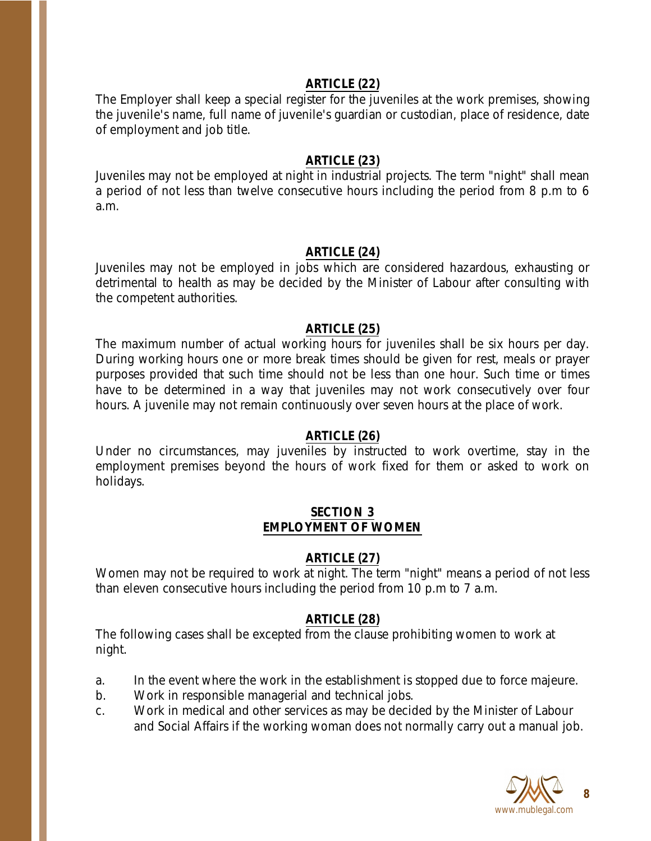#### **ARTICLE (22)**

The Employer shall keep a special register for the juveniles at the work premises, showing the juvenile's name, full name of juvenile's guardian or custodian, place of residence, date of employment and job title.

#### **ARTICLE (23)**

Juveniles may not be employed at night in industrial projects. The term "night" shall mean a period of not less than twelve consecutive hours including the period from 8 p.m to 6 a.m.

#### **ARTICLE (24)**

Juveniles may not be employed in jobs which are considered hazardous, exhausting or detrimental to health as may be decided by the Minister of Labour after consulting with the competent authorities.

#### **ARTICLE (25)**

The maximum number of actual working hours for juveniles shall be six hours per day. During working hours one or more break times should be given for rest, meals or prayer purposes provided that such time should not be less than one hour. Such time or times have to be determined in a way that juveniles may not work consecutively over four hours. A juvenile may not remain continuously over seven hours at the place of work.

#### **ARTICLE (26)**

Under no circumstances, may juveniles by instructed to work overtime, stay in the employment premises beyond the hours of work fixed for them or asked to work on holidays.

#### **SECTION 3 EMPLOYMENT OF WOMEN**

#### **ARTICLE (27)**

Women may not be required to work at night. The term "night" means a period of not less than eleven consecutive hours including the period from 10 p.m to 7 a.m.

#### **ARTICLE (28)**

The following cases shall be excepted from the clause prohibiting women to work at night.

- a. In the event where the work in the establishment is stopped due to force majeure.
- b. Work in responsible managerial and technical jobs.
- c. Work in medical and other services as may be decided by the Minister of Labour and Social Affairs if the working woman does not normally carry out a manual job.

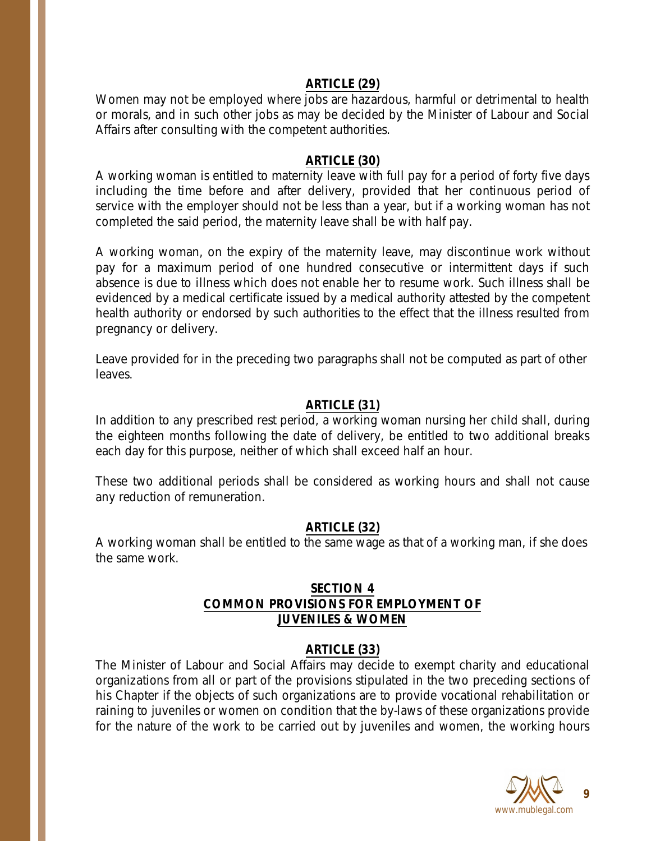#### **ARTICLE (29)**

Women may not be employed where jobs are hazardous, harmful or detrimental to health or morals, and in such other jobs as may be decided by the Minister of Labour and Social Affairs after consulting with the competent authorities.

#### **ARTICLE (30)**

A working woman is entitled to maternity leave with full pay for a period of forty five days including the time before and after delivery, provided that her continuous period of service with the employer should not be less than a year, but if a working woman has not completed the said period, the maternity leave shall be with half pay.

A working woman, on the expiry of the maternity leave, may discontinue work without pay for a maximum period of one hundred consecutive or intermittent days if such absence is due to illness which does not enable her to resume work. Such illness shall be evidenced by a medical certificate issued by a medical authority attested by the competent health authority or endorsed by such authorities to the effect that the illness resulted from pregnancy or delivery.

Leave provided for in the preceding two paragraphs shall not be computed as part of other leaves.

### **ARTICLE (31)**

In addition to any prescribed rest period, a working woman nursing her child shall, during the eighteen months following the date of delivery, be entitled to two additional breaks each day for this purpose, neither of which shall exceed half an hour.

These two additional periods shall be considered as working hours and shall not cause any reduction of remuneration.

#### **ARTICLE (32)**

A working woman shall be entitled to the same wage as that of a working man, if she does the same work.

#### **SECTION 4 COMMON PROVISIONS FOR EMPLOYMENT OF JUVENILES & WOMEN**

#### **ARTICLE (33)**

The Minister of Labour and Social Affairs may decide to exempt charity and educational organizations from all or part of the provisions stipulated in the two preceding sections of his Chapter if the objects of such organizations are to provide vocational rehabilitation or raining to juveniles or women on condition that the by-laws of these organizations provide for the nature of the work to be carried out by juveniles and women, the working hours

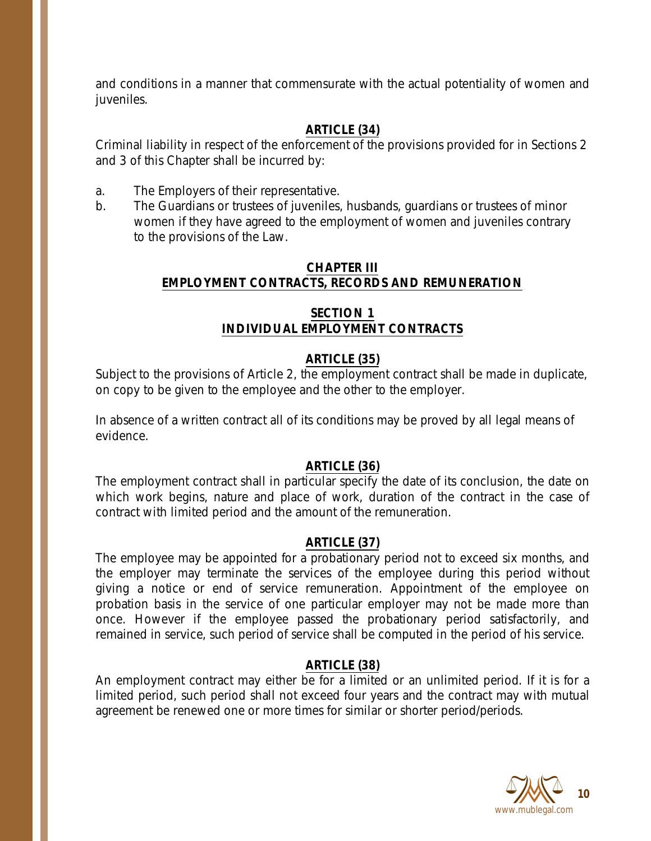and conditions in a manner that commensurate with the actual potentiality of women and juveniles.

# **ARTICLE (34)**

Criminal liability in respect of the enforcement of the provisions provided for in Sections 2 and 3 of this Chapter shall be incurred by:

- a. The Employers of their representative.
- b. The Guardians or trustees of juveniles, husbands, guardians or trustees of minor women if they have agreed to the employment of women and juveniles contrary to the provisions of the Law.

#### **CHAPTER III EMPLOYMENT CONTRACTS, RECORDS AND REMUNERATION**

### **SECTION 1 INDIVIDUAL EMPLOYMENT CONTRACTS**

# **ARTICLE (35)**

Subject to the provisions of Article 2, the employment contract shall be made in duplicate, on copy to be given to the employee and the other to the employer.

In absence of a written contract all of its conditions may be proved by all legal means of evidence.

## **ARTICLE (36)**

The employment contract shall in particular specify the date of its conclusion, the date on which work begins, nature and place of work, duration of the contract in the case of contract with limited period and the amount of the remuneration.

## **ARTICLE (37)**

The employee may be appointed for a probationary period not to exceed six months, and the employer may terminate the services of the employee during this period without giving a notice or end of service remuneration. Appointment of the employee on probation basis in the service of one particular employer may not be made more than once. However if the employee passed the probationary period satisfactorily, and remained in service, such period of service shall be computed in the period of his service.

## **ARTICLE (38)**

An employment contract may either be for a limited or an unlimited period. If it is for a limited period, such period shall not exceed four years and the contract may with mutual agreement be renewed one or more times for similar or shorter period/periods.

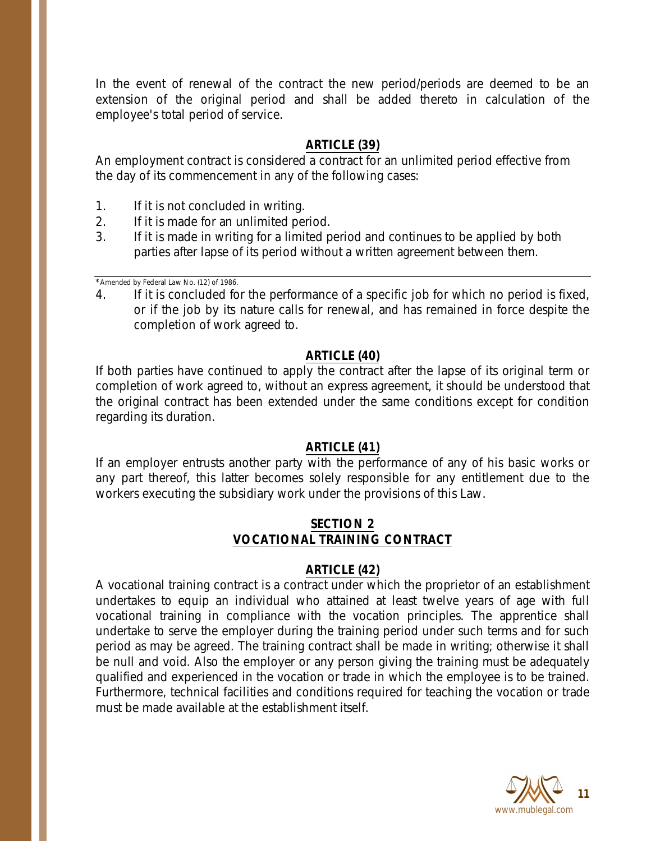In the event of renewal of the contract the new period/periods are deemed to be an extension of the original period and shall be added thereto in calculation of the employee's total period of service.

### **ARTICLE (39)**

An employment contract is considered a contract for an unlimited period effective from the day of its commencement in any of the following cases:

- 1. If it is not concluded in writing.
- 2. If it is made for an unlimited period.
- 3. If it is made in writing for a limited period and continues to be applied by both parties after lapse of its period without a written agreement between them.

\*Amended by Federal Law No. (12) of 1986.

4. If it is concluded for the performance of a specific job for which no period is fixed, or if the job by its nature calls for renewal, and has remained in force despite the completion of work agreed to.

#### **ARTICLE (40)**

If both parties have continued to apply the contract after the lapse of its original term or completion of work agreed to, without an express agreement, it should be understood that the original contract has been extended under the same conditions except for condition regarding its duration.

#### **ARTICLE (41)**

If an employer entrusts another party with the performance of any of his basic works or any part thereof, this latter becomes solely responsible for any entitlement due to the workers executing the subsidiary work under the provisions of this Law.

## **SECTION 2 VOCATIONAL TRAINING CONTRACT**

#### **ARTICLE (42)**

A vocational training contract is a contract under which the proprietor of an establishment undertakes to equip an individual who attained at least twelve years of age with full vocational training in compliance with the vocation principles. The apprentice shall undertake to serve the employer during the training period under such terms and for such period as may be agreed. The training contract shall be made in writing; otherwise it shall be null and void. Also the employer or any person giving the training must be adequately qualified and experienced in the vocation or trade in which the employee is to be trained. Furthermore, technical facilities and conditions required for teaching the vocation or trade must be made available at the establishment itself.

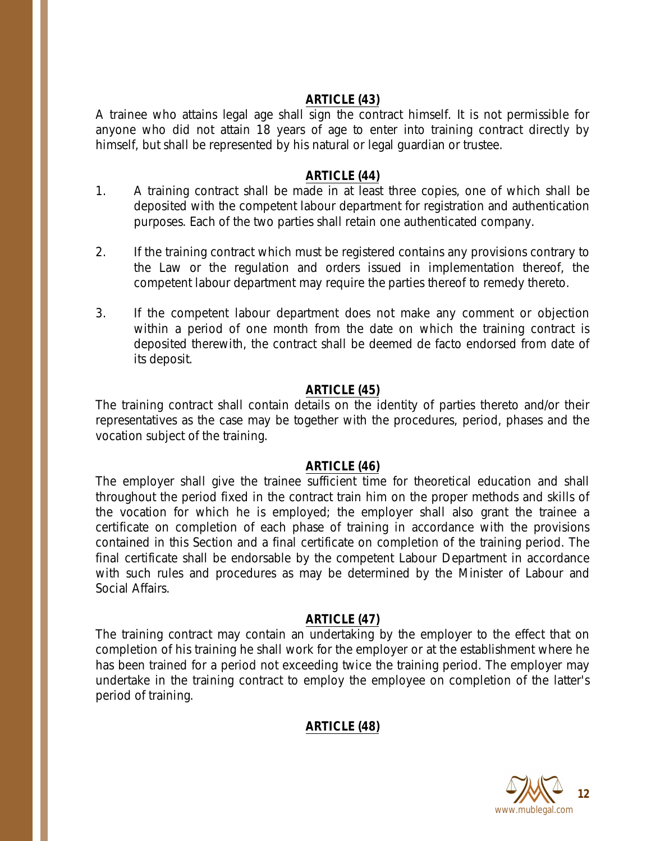### **ARTICLE (43)**

A trainee who attains legal age shall sign the contract himself. It is not permissible for anyone who did not attain 18 years of age to enter into training contract directly by himself, but shall be represented by his natural or legal guardian or trustee.

### **ARTICLE (44)**

- 1. A training contract shall be made in at least three copies, one of which shall be deposited with the competent labour department for registration and authentication purposes. Each of the two parties shall retain one authenticated company.
- 2. If the training contract which must be registered contains any provisions contrary to the Law or the regulation and orders issued in implementation thereof, the competent labour department may require the parties thereof to remedy thereto.
- 3. If the competent labour department does not make any comment or objection within a period of one month from the date on which the training contract is deposited therewith, the contract shall be deemed de facto endorsed from date of its deposit.

### **ARTICLE (45)**

The training contract shall contain details on the identity of parties thereto and/or their representatives as the case may be together with the procedures, period, phases and the vocation subject of the training.

#### **ARTICLE (46)**

The employer shall give the trainee sufficient time for theoretical education and shall throughout the period fixed in the contract train him on the proper methods and skills of the vocation for which he is employed; the employer shall also grant the trainee a certificate on completion of each phase of training in accordance with the provisions contained in this Section and a final certificate on completion of the training period. The final certificate shall be endorsable by the competent Labour Department in accordance with such rules and procedures as may be determined by the Minister of Labour and Social Affairs.

#### **ARTICLE (47)**

The training contract may contain an undertaking by the employer to the effect that on completion of his training he shall work for the employer or at the establishment where he has been trained for a period not exceeding twice the training period. The employer may undertake in the training contract to employ the employee on completion of the latter's period of training.

# **ARTICLE (48)**

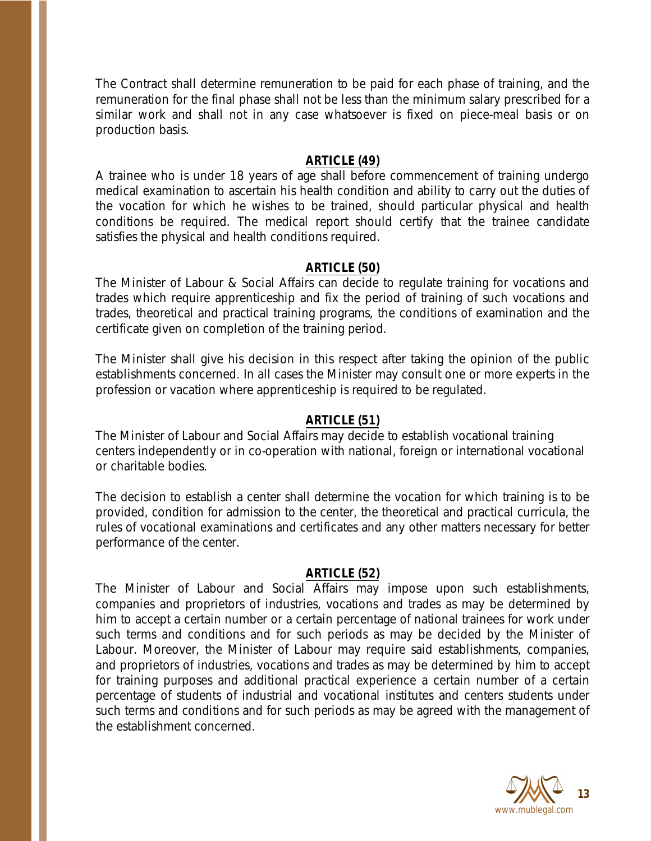The Contract shall determine remuneration to be paid for each phase of training, and the remuneration for the final phase shall not be less than the minimum salary prescribed for a similar work and shall not in any case whatsoever is fixed on piece-meal basis or on production basis.

#### **ARTICLE (49)**

A trainee who is under 18 years of age shall before commencement of training undergo medical examination to ascertain his health condition and ability to carry out the duties of the vocation for which he wishes to be trained, should particular physical and health conditions be required. The medical report should certify that the trainee candidate satisfies the physical and health conditions required.

#### **ARTICLE (50)**

The Minister of Labour & Social Affairs can decide to regulate training for vocations and trades which require apprenticeship and fix the period of training of such vocations and trades, theoretical and practical training programs, the conditions of examination and the certificate given on completion of the training period.

The Minister shall give his decision in this respect after taking the opinion of the public establishments concerned. In all cases the Minister may consult one or more experts in the profession or vacation where apprenticeship is required to be regulated.

#### **ARTICLE (51)**

The Minister of Labour and Social Affairs may decide to establish vocational training centers independently or in co-operation with national, foreign or international vocational or charitable bodies.

The decision to establish a center shall determine the vocation for which training is to be provided, condition for admission to the center, the theoretical and practical curricula, the rules of vocational examinations and certificates and any other matters necessary for better performance of the center.

#### **ARTICLE (52)**

The Minister of Labour and Social Affairs may impose upon such establishments, companies and proprietors of industries, vocations and trades as may be determined by him to accept a certain number or a certain percentage of national trainees for work under such terms and conditions and for such periods as may be decided by the Minister of Labour. Moreover, the Minister of Labour may require said establishments, companies, and proprietors of industries, vocations and trades as may be determined by him to accept for training purposes and additional practical experience a certain number of a certain percentage of students of industrial and vocational institutes and centers students under such terms and conditions and for such periods as may be agreed with the management of the establishment concerned.

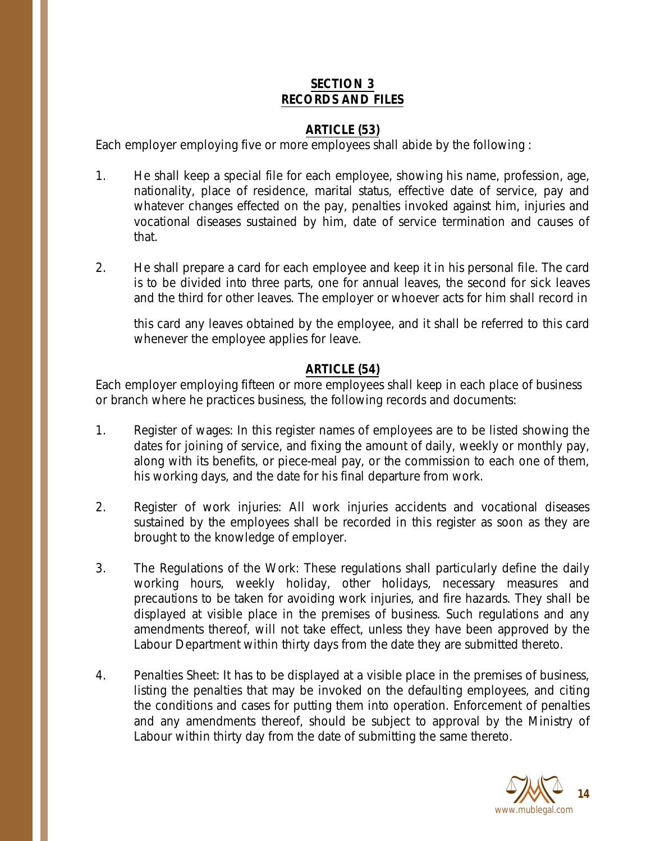### **SECTION 3 RECORDS AND FILES**

### **ARTICLE (53)**

Each employer employing five or more employees shall abide by the following :

- 1. He shall keep a special file for each employee, showing his name, profession, age, nationality, place of residence, marital status, effective date of service, pay and whatever changes effected on the pay, penalties invoked against him, injuries and vocational diseases sustained by him, date of service termination and causes of that.
- 2. He shall prepare a card for each employee and keep it in his personal file. The card is to be divided into three parts, one for annual leaves, the second for sick leaves and the third for other leaves. The employer or whoever acts for him shall record in

this card any leaves obtained by the employee, and it shall be referred to this card whenever the employee applies for leave.

## **ARTICLE (54)**

Each employer employing fifteen or more employees shall keep in each place of business or branch where he practices business, the following records and documents:

- 1. Register of wages: In this register names of employees are to be listed showing the dates for joining of service, and fixing the amount of daily, weekly or monthly pay, along with its benefits, or piece-meal pay, or the commission to each one of them, his working days, and the date for his final departure from work.
- 2. Register of work injuries: All work injuries accidents and vocational diseases sustained by the employees shall be recorded in this register as soon as they are brought to the knowledge of employer.
- 3. The Regulations of the Work: These regulations shall particularly define the daily working hours, weekly holiday, other holidays, necessary measures and precautions to be taken for avoiding work injuries, and fire hazards. They shall be displayed at visible place in the premises of business. Such regulations and any amendments thereof, will not take effect, unless they have been approved by the Labour Department within thirty days from the date they are submitted thereto.
- 4. Penalties Sheet: It has to be displayed at a visible place in the premises of business, listing the penalties that may be invoked on the defaulting employees, and citing the conditions and cases for putting them into operation. Enforcement of penalties and any amendments thereof, should be subject to approval by the Ministry of Labour within thirty day from the date of submitting the same thereto.

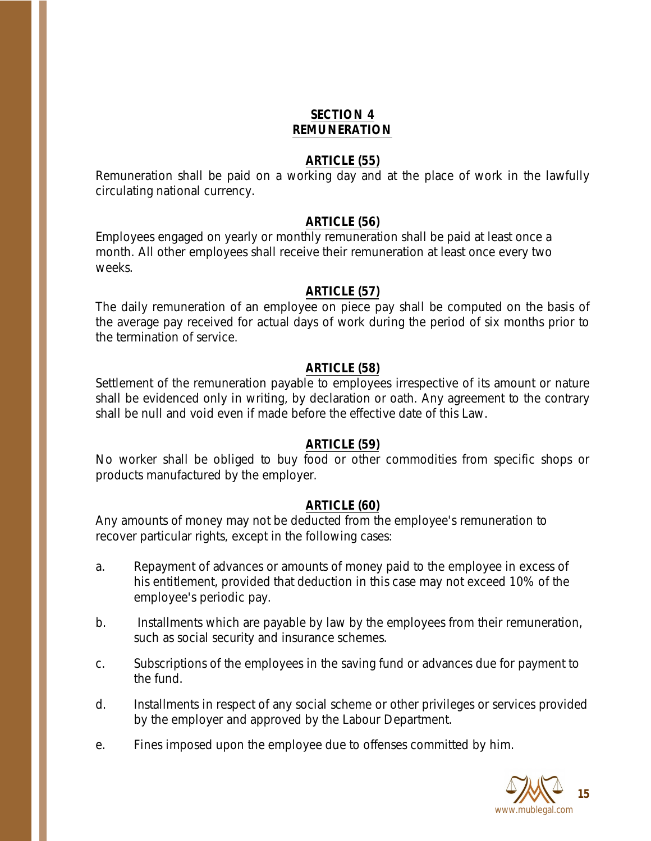# **SECTION 4 REMUNERATION**

#### **ARTICLE (55)**

Remuneration shall be paid on a working day and at the place of work in the lawfully circulating national currency.

#### **ARTICLE (56)**

Employees engaged on yearly or monthly remuneration shall be paid at least once a month. All other employees shall receive their remuneration at least once every two weeks.

#### **ARTICLE (57)**

The daily remuneration of an employee on piece pay shall be computed on the basis of the average pay received for actual days of work during the period of six months prior to the termination of service.

#### **ARTICLE (58)**

Settlement of the remuneration payable to employees irrespective of its amount or nature shall be evidenced only in writing, by declaration or oath. Any agreement to the contrary shall be null and void even if made before the effective date of this Law.

#### **ARTICLE (59)**

No worker shall be obliged to buy food or other commodities from specific shops or products manufactured by the employer.

#### **ARTICLE (60)**

Any amounts of money may not be deducted from the employee's remuneration to recover particular rights, except in the following cases:

- a. Repayment of advances or amounts of money paid to the employee in excess of his entitlement, provided that deduction in this case may not exceed 10% of the employee's periodic pay.
- b. Installments which are payable by law by the employees from their remuneration, such as social security and insurance schemes.
- c. Subscriptions of the employees in the saving fund or advances due for payment to the fund.
- d. Installments in respect of any social scheme or other privileges or services provided by the employer and approved by the Labour Department.
- e. Fines imposed upon the employee due to offenses committed by him.

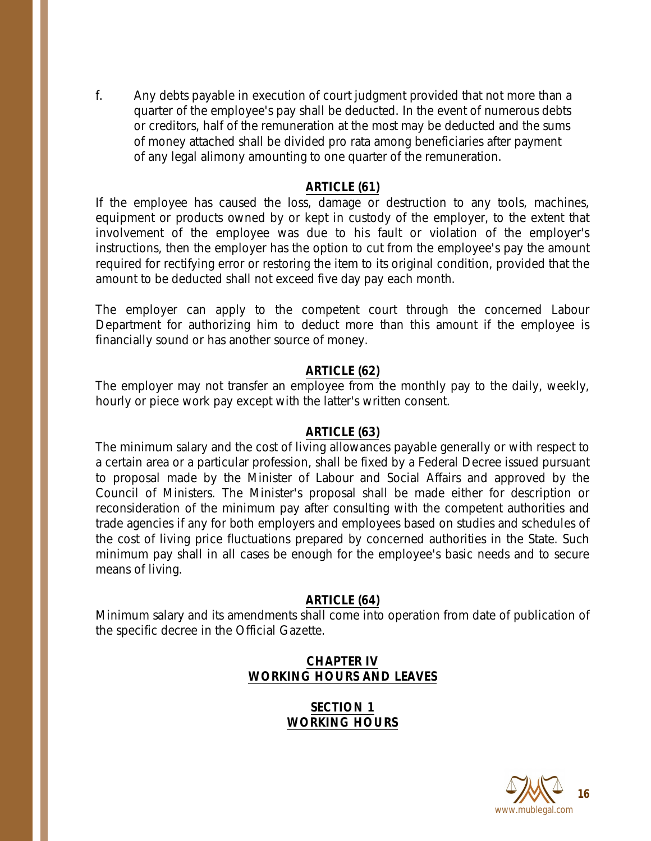f. Any debts payable in execution of court judgment provided that not more than a quarter of the employee's pay shall be deducted. In the event of numerous debts or creditors, half of the remuneration at the most may be deducted and the sums of money attached shall be divided pro rata among beneficiaries after payment of any legal alimony amounting to one quarter of the remuneration.

#### **ARTICLE (61)**

If the employee has caused the loss, damage or destruction to any tools, machines, equipment or products owned by or kept in custody of the employer, to the extent that involvement of the employee was due to his fault or violation of the employer's instructions, then the employer has the option to cut from the employee's pay the amount required for rectifying error or restoring the item to its original condition, provided that the amount to be deducted shall not exceed five day pay each month.

The employer can apply to the competent court through the concerned Labour Department for authorizing him to deduct more than this amount if the employee is financially sound or has another source of money.

#### **ARTICLE (62)**

The employer may not transfer an employee from the monthly pay to the daily, weekly, hourly or piece work pay except with the latter's written consent.

#### **ARTICLE (63)**

The minimum salary and the cost of living allowances payable generally or with respect to a certain area or a particular profession, shall be fixed by a Federal Decree issued pursuant to proposal made by the Minister of Labour and Social Affairs and approved by the Council of Ministers. The Minister's proposal shall be made either for description or reconsideration of the minimum pay after consulting with the competent authorities and trade agencies if any for both employers and employees based on studies and schedules of the cost of living price fluctuations prepared by concerned authorities in the State. Such minimum pay shall in all cases be enough for the employee's basic needs and to secure means of living.

#### **ARTICLE (64)**

Minimum salary and its amendments shall come into operation from date of publication of the specific decree in the Official Gazette.

## **CHAPTER IV WORKING HOURS AND LEAVES**

### **SECTION 1 WORKING HOURS**

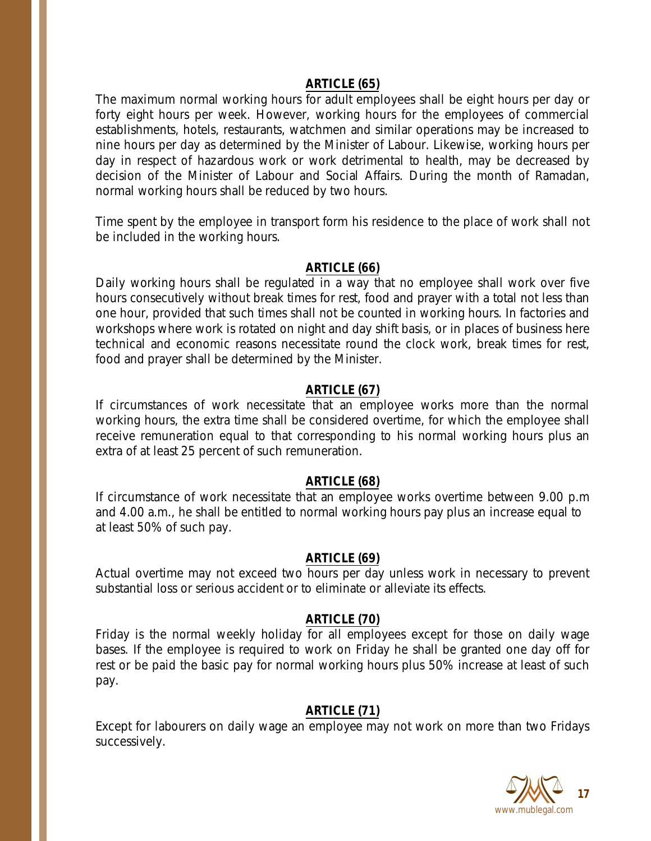#### **ARTICLE (65)**

The maximum normal working hours for adult employees shall be eight hours per day or forty eight hours per week. However, working hours for the employees of commercial establishments, hotels, restaurants, watchmen and similar operations may be increased to nine hours per day as determined by the Minister of Labour. Likewise, working hours per day in respect of hazardous work or work detrimental to health, may be decreased by decision of the Minister of Labour and Social Affairs. During the month of Ramadan, normal working hours shall be reduced by two hours.

Time spent by the employee in transport form his residence to the place of work shall not be included in the working hours.

#### **ARTICLE (66)**

Daily working hours shall be regulated in a way that no employee shall work over five hours consecutively without break times for rest, food and prayer with a total not less than one hour, provided that such times shall not be counted in working hours. In factories and workshops where work is rotated on night and day shift basis, or in places of business here technical and economic reasons necessitate round the clock work, break times for rest, food and prayer shall be determined by the Minister.

#### **ARTICLE (67)**

If circumstances of work necessitate that an employee works more than the normal working hours, the extra time shall be considered overtime, for which the employee shall receive remuneration equal to that corresponding to his normal working hours plus an extra of at least 25 percent of such remuneration.

#### **ARTICLE (68)**

If circumstance of work necessitate that an employee works overtime between 9.00 p.m and 4.00 a.m., he shall be entitled to normal working hours pay plus an increase equal to at least 50% of such pay.

#### **ARTICLE (69)**

Actual overtime may not exceed two hours per day unless work in necessary to prevent substantial loss or serious accident or to eliminate or alleviate its effects.

#### **ARTICLE (70)**

Friday is the normal weekly holiday for all employees except for those on daily wage bases. If the employee is required to work on Friday he shall be granted one day off for rest or be paid the basic pay for normal working hours plus 50% increase at least of such pay.

#### **ARTICLE (71)**

Except for labourers on daily wage an employee may not work on more than two Fridays successively.

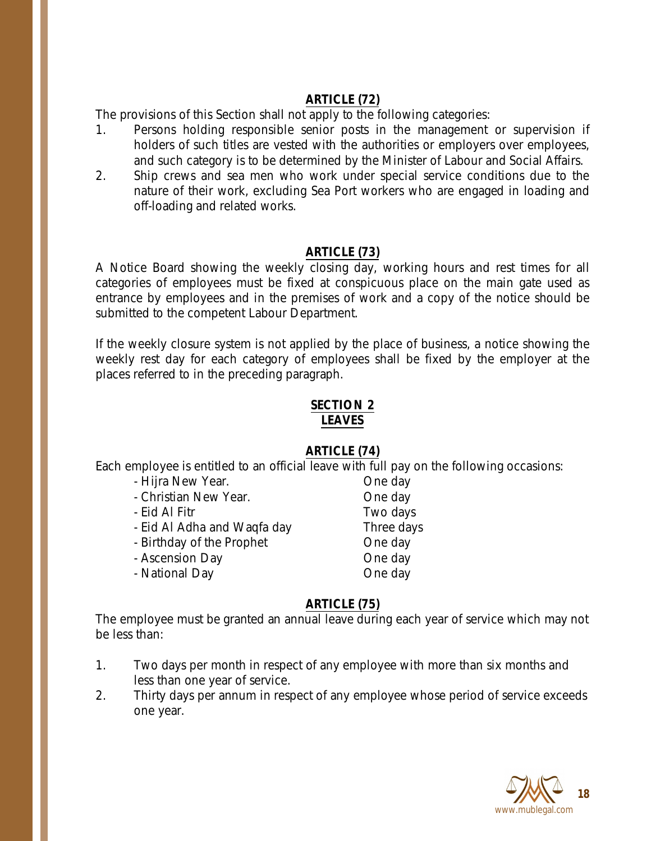## **ARTICLE (72)**

The provisions of this Section shall not apply to the following categories:

- 1. Persons holding responsible senior posts in the management or supervision if holders of such titles are vested with the authorities or employers over employees, and such category is to be determined by the Minister of Labour and Social Affairs.
- 2. Ship crews and sea men who work under special service conditions due to the nature of their work, excluding Sea Port workers who are engaged in loading and off-loading and related works.

#### **ARTICLE (73)**

A Notice Board showing the weekly closing day, working hours and rest times for all categories of employees must be fixed at conspicuous place on the main gate used as entrance by employees and in the premises of work and a copy of the notice should be submitted to the competent Labour Department.

If the weekly closure system is not applied by the place of business, a notice showing the weekly rest day for each category of employees shall be fixed by the employer at the places referred to in the preceding paragraph.

#### **SECTION 2 LEAVES**

## **ARTICLE (74)**

Each employee is entitled to an official leave with full pay on the following occasions:

- Hijra New Year. Cone day
- Christian New Year. Christian New Year.
- Eid Al Fitr **Two days**
- Eid Al Adha and Waqfa day Three days
- Birthday of the Prophet Cheeday
- Ascension Day **One day**
- National Day **One day**

## **ARTICLE (75)**

The employee must be granted an annual leave during each year of service which may not be less than:

- 1. Two days per month in respect of any employee with more than six months and less than one year of service.
- 2. Thirty days per annum in respect of any employee whose period of service exceeds one year.

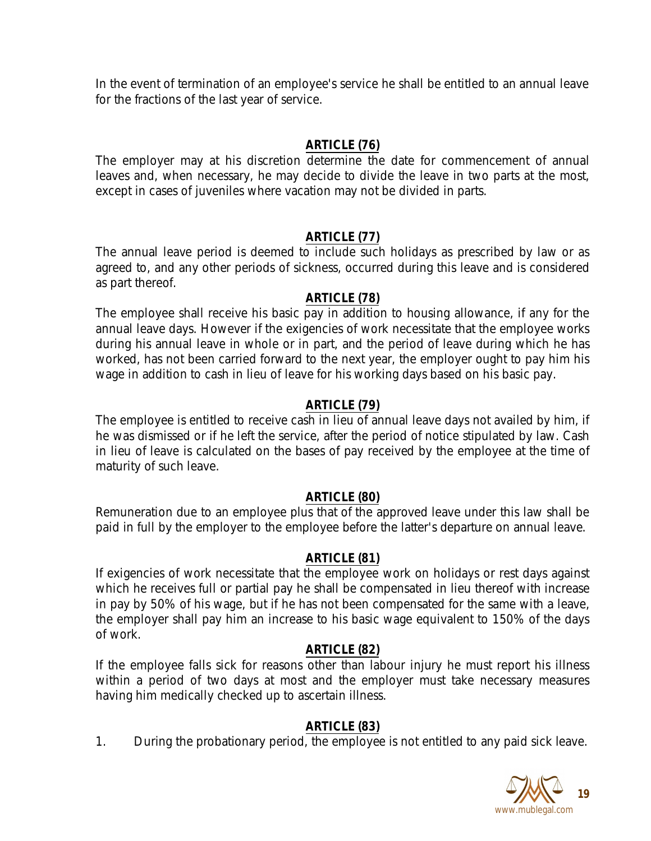In the event of termination of an employee's service he shall be entitled to an annual leave for the fractions of the last year of service.

## **ARTICLE (76)**

The employer may at his discretion determine the date for commencement of annual leaves and, when necessary, he may decide to divide the leave in two parts at the most, except in cases of juveniles where vacation may not be divided in parts.

# **ARTICLE (77)**

The annual leave period is deemed to include such holidays as prescribed by law or as agreed to, and any other periods of sickness, occurred during this leave and is considered as part thereof.

## **ARTICLE (78)**

The employee shall receive his basic pay in addition to housing allowance, if any for the annual leave days. However if the exigencies of work necessitate that the employee works during his annual leave in whole or in part, and the period of leave during which he has worked, has not been carried forward to the next year, the employer ought to pay him his wage in addition to cash in lieu of leave for his working days based on his basic pay.

# **ARTICLE (79)**

The employee is entitled to receive cash in lieu of annual leave days not availed by him, if he was dismissed or if he left the service, after the period of notice stipulated by law. Cash in lieu of leave is calculated on the bases of pay received by the employee at the time of maturity of such leave.

## **ARTICLE (80)**

Remuneration due to an employee plus that of the approved leave under this law shall be paid in full by the employer to the employee before the latter's departure on annual leave.

## **ARTICLE (81)**

If exigencies of work necessitate that the employee work on holidays or rest days against which he receives full or partial pay he shall be compensated in lieu thereof with increase in pay by 50% of his wage, but if he has not been compensated for the same with a leave, the employer shall pay him an increase to his basic wage equivalent to 150% of the days of work.

## **ARTICLE (82)**

If the employee falls sick for reasons other than labour injury he must report his illness within a period of two days at most and the employer must take necessary measures having him medically checked up to ascertain illness.

## **ARTICLE (83)**

1. During the probationary period, the employee is not entitled to any paid sick leave.

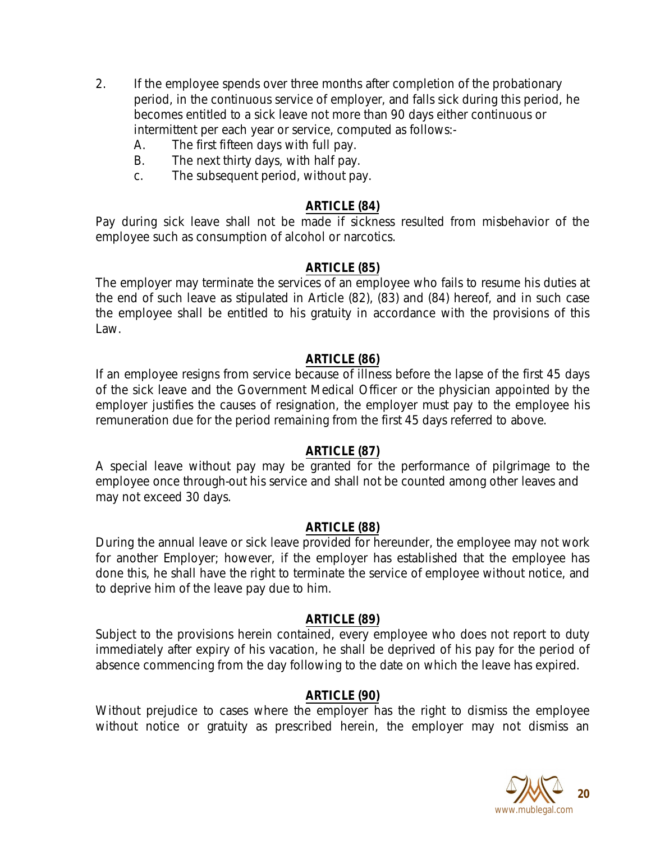- 2. If the employee spends over three months after completion of the probationary period, in the continuous service of employer, and falls sick during this period, he becomes entitled to a sick leave not more than 90 days either continuous or intermittent per each year or service, computed as follows:-
	- A. The first fifteen days with full pay.
	- B. The next thirty days, with half pay.
	- c. The subsequent period, without pay.

### **ARTICLE (84)**

Pay during sick leave shall not be made if sickness resulted from misbehavior of the employee such as consumption of alcohol or narcotics.

#### **ARTICLE (85)**

The employer may terminate the services of an employee who fails to resume his duties at the end of such leave as stipulated in Article (82), (83) and (84) hereof, and in such case the employee shall be entitled to his gratuity in accordance with the provisions of this Law.

#### **ARTICLE (86)**

If an employee resigns from service because of illness before the lapse of the first 45 days of the sick leave and the Government Medical Officer or the physician appointed by the employer justifies the causes of resignation, the employer must pay to the employee his remuneration due for the period remaining from the first 45 days referred to above.

#### **ARTICLE (87)**

A special leave without pay may be granted for the performance of pilgrimage to the employee once through-out his service and shall not be counted among other leaves and may not exceed 30 days.

#### **ARTICLE (88)**

During the annual leave or sick leave provided for hereunder, the employee may not work for another Employer; however, if the employer has established that the employee has done this, he shall have the right to terminate the service of employee without notice, and to deprive him of the leave pay due to him.

#### **ARTICLE (89)**

Subject to the provisions herein contained, every employee who does not report to duty immediately after expiry of his vacation, he shall be deprived of his pay for the period of absence commencing from the day following to the date on which the leave has expired.

#### **ARTICLE (90)**

Without prejudice to cases where the employer has the right to dismiss the employee without notice or gratuity as prescribed herein, the employer may not dismiss an

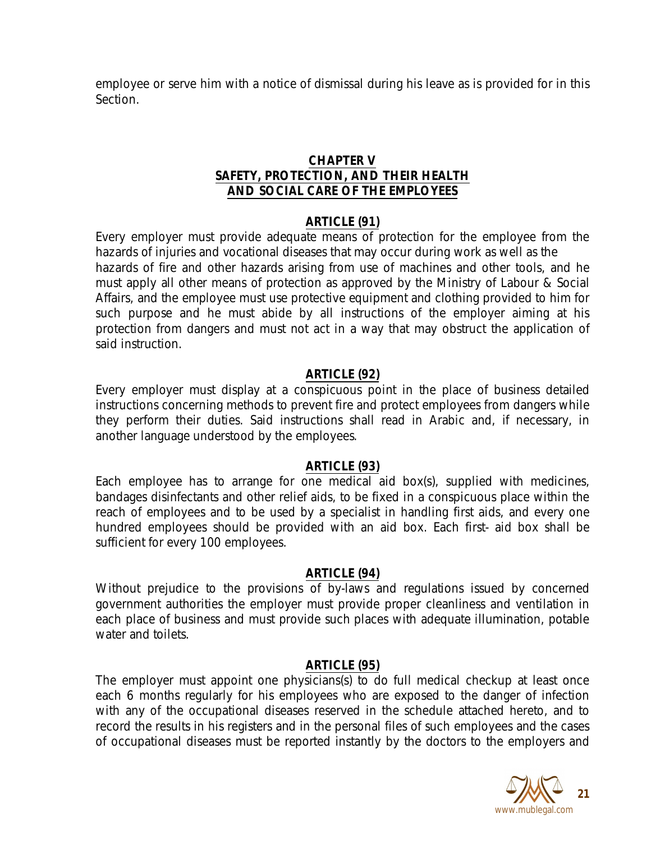employee or serve him with a notice of dismissal during his leave as is provided for in this Section.

### **CHAPTER V SAFETY, PROTECTION, AND THEIR HEALTH AND SOCIAL CARE OF THE EMPLOYEES**

### **ARTICLE (91)**

Every employer must provide adequate means of protection for the employee from the hazards of injuries and vocational diseases that may occur during work as well as the hazards of fire and other hazards arising from use of machines and other tools, and he must apply all other means of protection as approved by the Ministry of Labour & Social Affairs, and the employee must use protective equipment and clothing provided to him for such purpose and he must abide by all instructions of the employer aiming at his protection from dangers and must not act in a way that may obstruct the application of said instruction.

### **ARTICLE (92)**

Every employer must display at a conspicuous point in the place of business detailed instructions concerning methods to prevent fire and protect employees from dangers while they perform their duties. Said instructions shall read in Arabic and, if necessary, in another language understood by the employees.

#### **ARTICLE (93)**

Each employee has to arrange for one medical aid box(s), supplied with medicines, bandages disinfectants and other relief aids, to be fixed in a conspicuous place within the reach of employees and to be used by a specialist in handling first aids, and every one hundred employees should be provided with an aid box. Each first- aid box shall be sufficient for every 100 employees.

#### **ARTICLE (94)**

Without prejudice to the provisions of by-laws and regulations issued by concerned government authorities the employer must provide proper cleanliness and ventilation in each place of business and must provide such places with adequate illumination, potable water and toilets.

#### **ARTICLE (95)**

The employer must appoint one physicians(s) to do full medical checkup at least once each 6 months regularly for his employees who are exposed to the danger of infection with any of the occupational diseases reserved in the schedule attached hereto, and to record the results in his registers and in the personal files of such employees and the cases of occupational diseases must be reported instantly by the doctors to the employers and

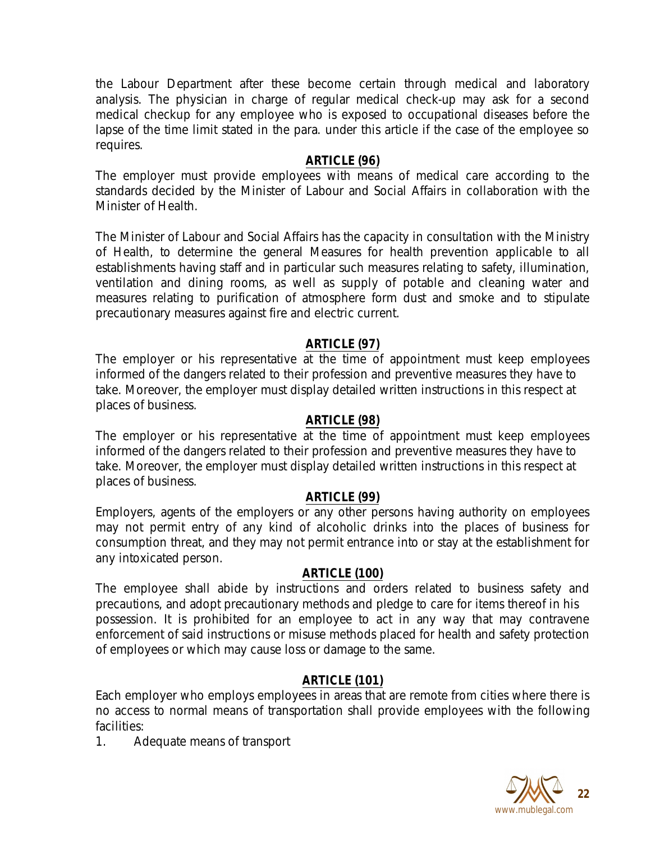the Labour Department after these become certain through medical and laboratory analysis. The physician in charge of regular medical check-up may ask for a second medical checkup for any employee who is exposed to occupational diseases before the lapse of the time limit stated in the para. under this article if the case of the employee so requires.

#### **ARTICLE (96)**

The employer must provide employees with means of medical care according to the standards decided by the Minister of Labour and Social Affairs in collaboration with the Minister of Health.

The Minister of Labour and Social Affairs has the capacity in consultation with the Ministry of Health, to determine the general Measures for health prevention applicable to all establishments having staff and in particular such measures relating to safety, illumination, ventilation and dining rooms, as well as supply of potable and cleaning water and measures relating to purification of atmosphere form dust and smoke and to stipulate precautionary measures against fire and electric current.

#### **ARTICLE (97)**

The employer or his representative at the time of appointment must keep employees informed of the dangers related to their profession and preventive measures they have to take. Moreover, the employer must display detailed written instructions in this respect at places of business.

#### **ARTICLE (98)**

The employer or his representative at the time of appointment must keep employees informed of the dangers related to their profession and preventive measures they have to take. Moreover, the employer must display detailed written instructions in this respect at places of business.

#### **ARTICLE (99)**

Employers, agents of the employers or any other persons having authority on employees may not permit entry of any kind of alcoholic drinks into the places of business for consumption threat, and they may not permit entrance into or stay at the establishment for any intoxicated person.

#### **ARTICLE (100)**

The employee shall abide by instructions and orders related to business safety and precautions, and adopt precautionary methods and pledge to care for items thereof in his possession. It is prohibited for an employee to act in any way that may contravene enforcement of said instructions or misuse methods placed for health and safety protection of employees or which may cause loss or damage to the same.

#### **ARTICLE (101)**

Each employer who employs employees in areas that are remote from cities where there is no access to normal means of transportation shall provide employees with the following facilities:

1. Adequate means of transport

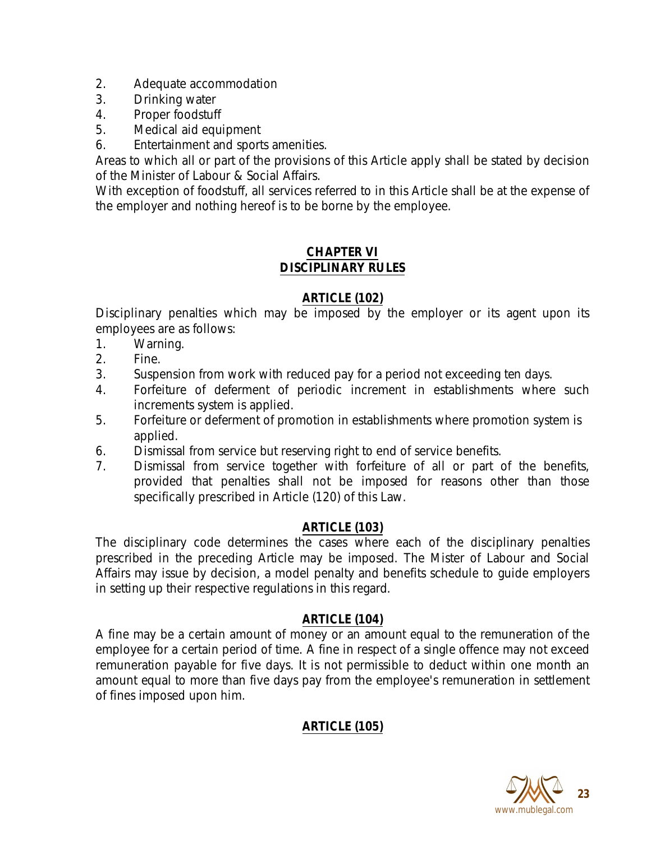- 2. Adequate accommodation
- 3. Drinking water
- 4. Proper foodstuff
- 5. Medical aid equipment
- 6. Entertainment and sports amenities.

Areas to which all or part of the provisions of this Article apply shall be stated by decision of the Minister of Labour & Social Affairs.

With exception of foodstuff, all services referred to in this Article shall be at the expense of the employer and nothing hereof is to be borne by the employee.

### **CHAPTER VI DISCIPLINARY RULES**

## **ARTICLE (102)**

Disciplinary penalties which may be imposed by the employer or its agent upon its employees are as follows:

- 1. Warning.
- 2. Fine.
- 3. Suspension from work with reduced pay for a period not exceeding ten days.
- 4. Forfeiture of deferment of periodic increment in establishments where such increments system is applied.
- 5. Forfeiture or deferment of promotion in establishments where promotion system is applied.
- 6. Dismissal from service but reserving right to end of service benefits.
- 7. Dismissal from service together with forfeiture of all or part of the benefits, provided that penalties shall not be imposed for reasons other than those specifically prescribed in Article (120) of this Law.

## **ARTICLE (103)**

The disciplinary code determines the cases where each of the disciplinary penalties prescribed in the preceding Article may be imposed. The Mister of Labour and Social Affairs may issue by decision, a model penalty and benefits schedule to guide employers in setting up their respective regulations in this regard.

#### **ARTICLE (104)**

A fine may be a certain amount of money or an amount equal to the remuneration of the employee for a certain period of time. A fine in respect of a single offence may not exceed remuneration payable for five days. It is not permissible to deduct within one month an amount equal to more than five days pay from the employee's remuneration in settlement of fines imposed upon him.

# **ARTICLE (105)**

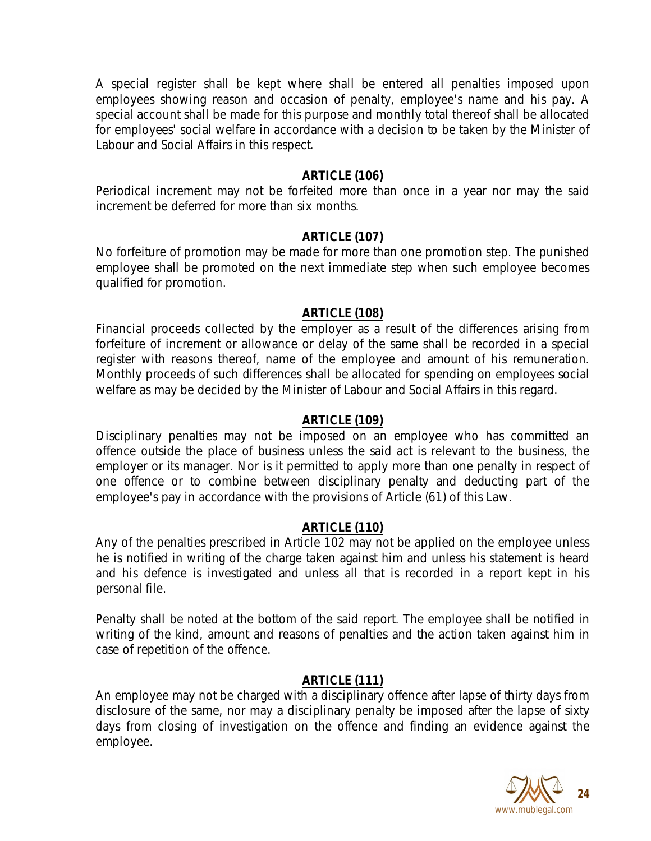A special register shall be kept where shall be entered all penalties imposed upon employees showing reason and occasion of penalty, employee's name and his pay. A special account shall be made for this purpose and monthly total thereof shall be allocated for employees' social welfare in accordance with a decision to be taken by the Minister of Labour and Social Affairs in this respect.

### **ARTICLE (106)**

Periodical increment may not be forfeited more than once in a year nor may the said increment be deferred for more than six months.

### **ARTICLE (107)**

No forfeiture of promotion may be made for more than one promotion step. The punished employee shall be promoted on the next immediate step when such employee becomes qualified for promotion.

#### **ARTICLE (108)**

Financial proceeds collected by the employer as a result of the differences arising from forfeiture of increment or allowance or delay of the same shall be recorded in a special register with reasons thereof, name of the employee and amount of his remuneration. Monthly proceeds of such differences shall be allocated for spending on employees social welfare as may be decided by the Minister of Labour and Social Affairs in this regard.

### **ARTICLE (109)**

Disciplinary penalties may not be imposed on an employee who has committed an offence outside the place of business unless the said act is relevant to the business, the employer or its manager. Nor is it permitted to apply more than one penalty in respect of one offence or to combine between disciplinary penalty and deducting part of the employee's pay in accordance with the provisions of Article (61) of this Law.

#### **ARTICLE (110)**

Any of the penalties prescribed in Article 102 may not be applied on the employee unless he is notified in writing of the charge taken against him and unless his statement is heard and his defence is investigated and unless all that is recorded in a report kept in his personal file.

Penalty shall be noted at the bottom of the said report. The employee shall be notified in writing of the kind, amount and reasons of penalties and the action taken against him in case of repetition of the offence.

#### **ARTICLE (111)**

An employee may not be charged with a disciplinary offence after lapse of thirty days from disclosure of the same, nor may a disciplinary penalty be imposed after the lapse of sixty days from closing of investigation on the offence and finding an evidence against the employee.

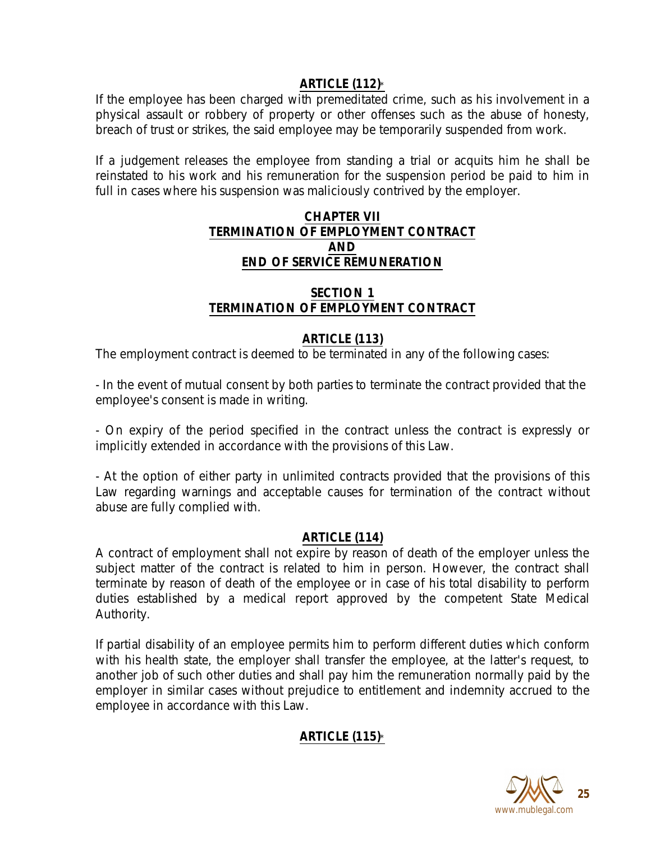## **ARTICLE (112)**\*

If the employee has been charged with premeditated crime, such as his involvement in a physical assault or robbery of property or other offenses such as the abuse of honesty, breach of trust or strikes, the said employee may be temporarily suspended from work.

If a judgement releases the employee from standing a trial or acquits him he shall be reinstated to his work and his remuneration for the suspension period be paid to him in full in cases where his suspension was maliciously contrived by the employer.

### **CHAPTER VII TERMINATION OF EMPLOYMENT CONTRACT AND END OF SERVICE REMUNERATION**

# **SECTION 1 TERMINATION OF EMPLOYMENT CONTRACT**

# **ARTICLE (113)**

The employment contract is deemed to be terminated in any of the following cases:

- In the event of mutual consent by both parties to terminate the contract provided that the employee's consent is made in writing.

- On expiry of the period specified in the contract unless the contract is expressly or implicitly extended in accordance with the provisions of this Law.

- At the option of either party in unlimited contracts provided that the provisions of this Law regarding warnings and acceptable causes for termination of the contract without abuse are fully complied with.

## **ARTICLE (114)**

A contract of employment shall not expire by reason of death of the employer unless the subject matter of the contract is related to him in person. However, the contract shall terminate by reason of death of the employee or in case of his total disability to perform duties established by a medical report approved by the competent State Medical Authority.

If partial disability of an employee permits him to perform different duties which conform with his health state, the employer shall transfer the employee, at the latter's request, to another job of such other duties and shall pay him the remuneration normally paid by the employer in similar cases without prejudice to entitlement and indemnity accrued to the employee in accordance with this Law.

# **ARTICLE (115)**\*

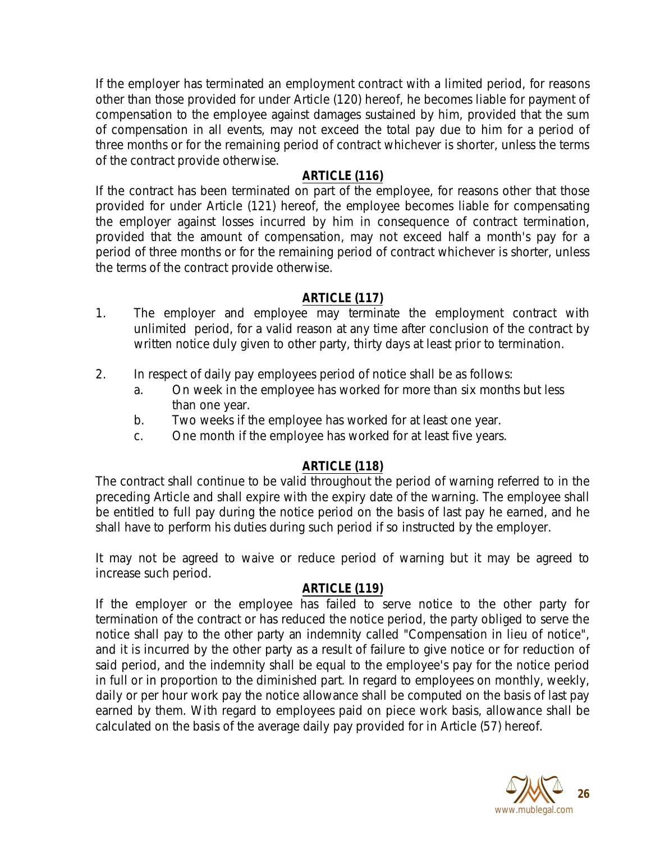If the employer has terminated an employment contract with a limited period, for reasons other than those provided for under Article (120) hereof, he becomes liable for payment of compensation to the employee against damages sustained by him, provided that the sum of compensation in all events, may not exceed the total pay due to him for a period of three months or for the remaining period of contract whichever is shorter, unless the terms of the contract provide otherwise.

## **ARTICLE (116)**

If the contract has been terminated on part of the employee, for reasons other that those provided for under Article (121) hereof, the employee becomes liable for compensating the employer against losses incurred by him in consequence of contract termination, provided that the amount of compensation, may not exceed half a month's pay for a period of three months or for the remaining period of contract whichever is shorter, unless the terms of the contract provide otherwise.

# **ARTICLE (117)**

- 1. The employer and employee may terminate the employment contract with unlimited period, for a valid reason at any time after conclusion of the contract by written notice duly given to other party, thirty days at least prior to termination.
- 2. In respect of daily pay employees period of notice shall be as follows:
	- a. On week in the employee has worked for more than six months but less than one year.
	- b. Two weeks if the employee has worked for at least one year.
	- c. One month if the employee has worked for at least five years.

# **ARTICLE (118)**

The contract shall continue to be valid throughout the period of warning referred to in the preceding Article and shall expire with the expiry date of the warning. The employee shall be entitled to full pay during the notice period on the basis of last pay he earned, and he shall have to perform his duties during such period if so instructed by the employer.

It may not be agreed to waive or reduce period of warning but it may be agreed to increase such period.

# **ARTICLE (119)**

If the employer or the employee has failed to serve notice to the other party for termination of the contract or has reduced the notice period, the party obliged to serve the notice shall pay to the other party an indemnity called "Compensation in lieu of notice", and it is incurred by the other party as a result of failure to give notice or for reduction of said period, and the indemnity shall be equal to the employee's pay for the notice period in full or in proportion to the diminished part. In regard to employees on monthly, weekly, daily or per hour work pay the notice allowance shall be computed on the basis of last pay earned by them. With regard to employees paid on piece work basis, allowance shall be calculated on the basis of the average daily pay provided for in Article (57) hereof.

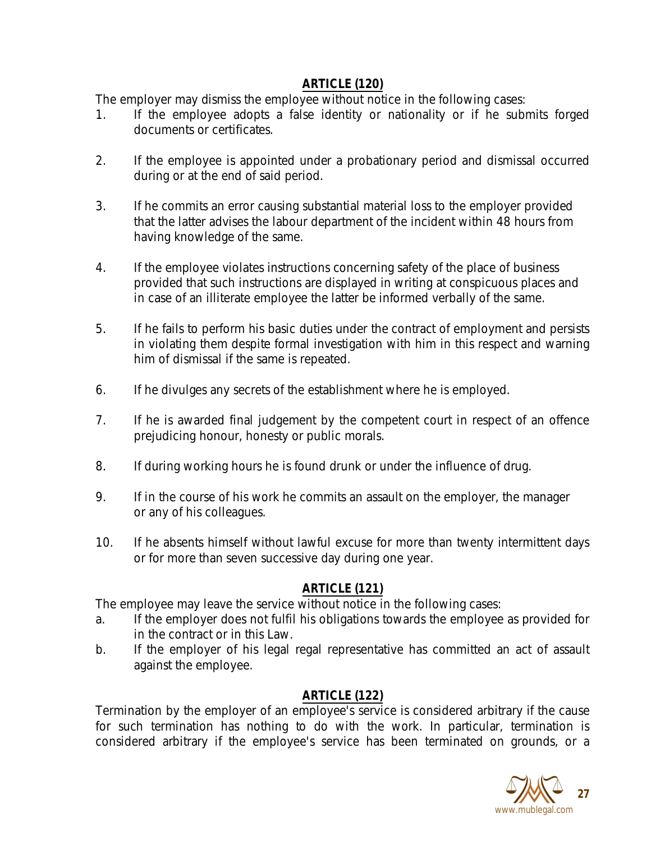# **ARTICLE (120)**

The employer may dismiss the employee without notice in the following cases:

- 1. If the employee adopts a false identity or nationality or if he submits forged documents or certificates.
- 2. If the employee is appointed under a probationary period and dismissal occurred during or at the end of said period.
- 3. If he commits an error causing substantial material loss to the employer provided that the latter advises the labour department of the incident within 48 hours from having knowledge of the same.
- 4. If the employee violates instructions concerning safety of the place of business provided that such instructions are displayed in writing at conspicuous places and in case of an illiterate employee the latter be informed verbally of the same.
- 5. If he fails to perform his basic duties under the contract of employment and persists in violating them despite formal investigation with him in this respect and warning him of dismissal if the same is repeated.
- 6. If he divulges any secrets of the establishment where he is employed.
- 7. If he is awarded final judgement by the competent court in respect of an offence prejudicing honour, honesty or public morals.
- 8. If during working hours he is found drunk or under the influence of drug.
- 9. If in the course of his work he commits an assault on the employer, the manager or any of his colleagues.
- 10. If he absents himself without lawful excuse for more than twenty intermittent days or for more than seven successive day during one year.

# **ARTICLE (121)**

The employee may leave the service without notice in the following cases:

- a. If the employer does not fulfil his obligations towards the employee as provided for in the contract or in this Law.
- b. If the employer of his legal regal representative has committed an act of assault against the employee.

# **ARTICLE (122)**

Termination by the employer of an employee's service is considered arbitrary if the cause for such termination has nothing to do with the work. In particular, termination is considered arbitrary if the employee's service has been terminated on grounds, or a

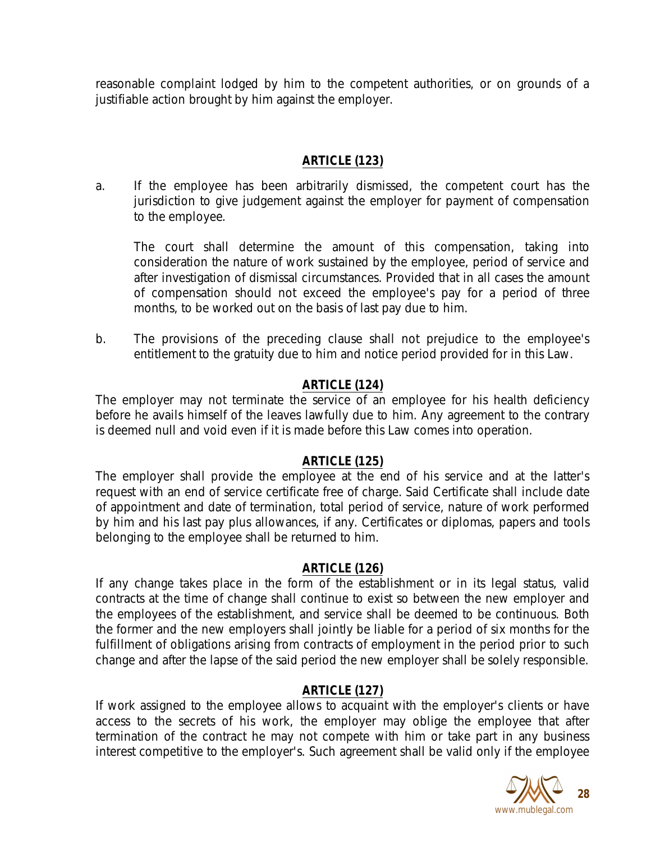reasonable complaint lodged by him to the competent authorities, or on grounds of a justifiable action brought by him against the employer.

# **ARTICLE (123)**

a. If the employee has been arbitrarily dismissed, the competent court has the jurisdiction to give judgement against the employer for payment of compensation to the employee.

The court shall determine the amount of this compensation, taking into consideration the nature of work sustained by the employee, period of service and after investigation of dismissal circumstances. Provided that in all cases the amount of compensation should not exceed the employee's pay for a period of three months, to be worked out on the basis of last pay due to him.

b. The provisions of the preceding clause shall not prejudice to the employee's entitlement to the gratuity due to him and notice period provided for in this Law.

# **ARTICLE (124)**

The employer may not terminate the service of an employee for his health deficiency before he avails himself of the leaves lawfully due to him. Any agreement to the contrary is deemed null and void even if it is made before this Law comes into operation.

## **ARTICLE (125)**

The employer shall provide the employee at the end of his service and at the latter's request with an end of service certificate free of charge. Said Certificate shall include date of appointment and date of termination, total period of service, nature of work performed by him and his last pay plus allowances, if any. Certificates or diplomas, papers and tools belonging to the employee shall be returned to him.

## **ARTICLE (126)**

If any change takes place in the form of the establishment or in its legal status, valid contracts at the time of change shall continue to exist so between the new employer and the employees of the establishment, and service shall be deemed to be continuous. Both the former and the new employers shall jointly be liable for a period of six months for the fulfillment of obligations arising from contracts of employment in the period prior to such change and after the lapse of the said period the new employer shall be solely responsible.

## **ARTICLE (127)**

If work assigned to the employee allows to acquaint with the employer's clients or have access to the secrets of his work, the employer may oblige the employee that after termination of the contract he may not compete with him or take part in any business interest competitive to the employer's. Such agreement shall be valid only if the employee

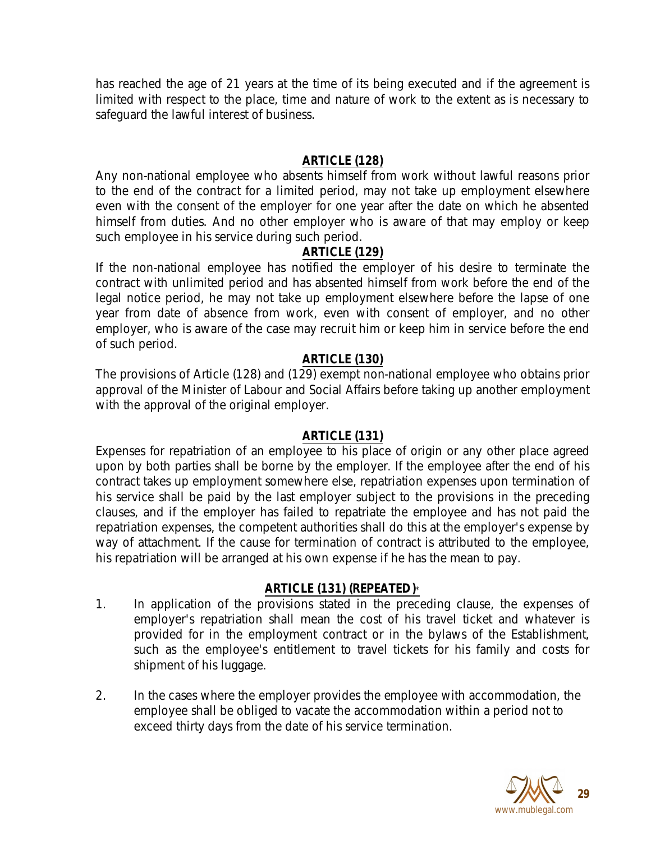has reached the age of 21 years at the time of its being executed and if the agreement is limited with respect to the place, time and nature of work to the extent as is necessary to safeguard the lawful interest of business.

### **ARTICLE (128)**

Any non-national employee who absents himself from work without lawful reasons prior to the end of the contract for a limited period, may not take up employment elsewhere even with the consent of the employer for one year after the date on which he absented himself from duties. And no other employer who is aware of that may employ or keep such employee in his service during such period.

### **ARTICLE (129)**

If the non-national employee has notified the employer of his desire to terminate the contract with unlimited period and has absented himself from work before the end of the legal notice period, he may not take up employment elsewhere before the lapse of one year from date of absence from work, even with consent of employer, and no other employer, who is aware of the case may recruit him or keep him in service before the end of such period.

#### **ARTICLE (130)**

The provisions of Article (128) and (129) exempt non-national employee who obtains prior approval of the Minister of Labour and Social Affairs before taking up another employment with the approval of the original employer.

#### **ARTICLE (131)**

Expenses for repatriation of an employee to his place of origin or any other place agreed upon by both parties shall be borne by the employer. If the employee after the end of his contract takes up employment somewhere else, repatriation expenses upon termination of his service shall be paid by the last employer subject to the provisions in the preceding clauses, and if the employer has failed to repatriate the employee and has not paid the repatriation expenses, the competent authorities shall do this at the employer's expense by way of attachment. If the cause for termination of contract is attributed to the employee, his repatriation will be arranged at his own expense if he has the mean to pay.

#### **ARTICLE (131) (REPEATED)**\*

- 1. In application of the provisions stated in the preceding clause, the expenses of employer's repatriation shall mean the cost of his travel ticket and whatever is provided for in the employment contract or in the bylaws of the Establishment, such as the employee's entitlement to travel tickets for his family and costs for shipment of his luggage.
- 2. In the cases where the employer provides the employee with accommodation, the employee shall be obliged to vacate the accommodation within a period not to exceed thirty days from the date of his service termination.

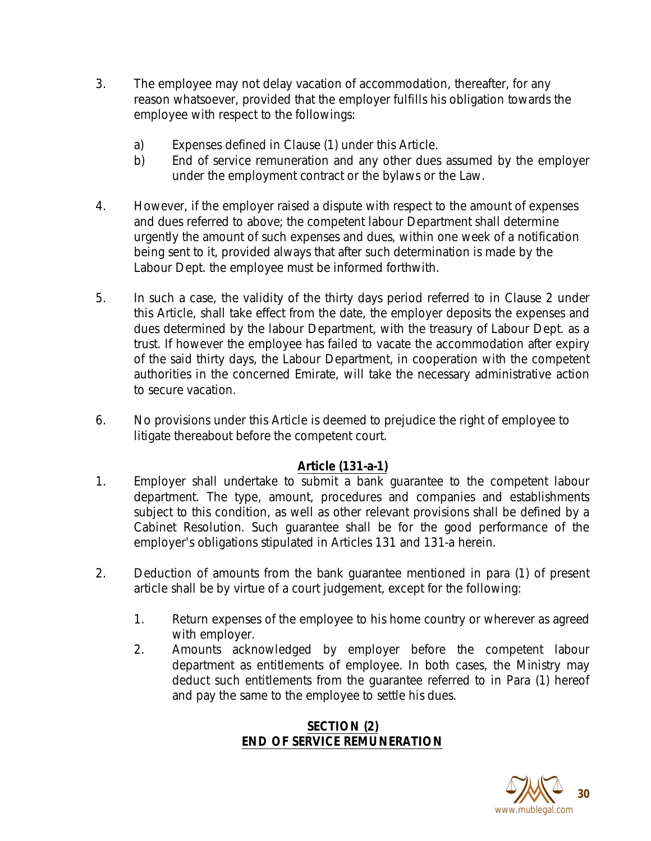- 3. The employee may not delay vacation of accommodation, thereafter, for any reason whatsoever, provided that the employer fulfills his obligation towards the employee with respect to the followings:
	- a) Expenses defined in Clause (1) under this Article.
	- b) End of service remuneration and any other dues assumed by the employer under the employment contract or the bylaws or the Law.
- 4. However, if the employer raised a dispute with respect to the amount of expenses and dues referred to above; the competent labour Department shall determine urgently the amount of such expenses and dues, within one week of a notification being sent to it, provided always that after such determination is made by the Labour Dept. the employee must be informed forthwith.
- 5. In such a case, the validity of the thirty days period referred to in Clause 2 under this Article, shall take effect from the date, the employer deposits the expenses and dues determined by the labour Department, with the treasury of Labour Dept. as a trust. If however the employee has failed to vacate the accommodation after expiry of the said thirty days, the Labour Department, in cooperation with the competent authorities in the concerned Emirate, will take the necessary administrative action to secure vacation.
- 6. No provisions under this Article is deemed to prejudice the right of employee to litigate thereabout before the competent court.

# **Article (131-a-1)**

- 1. Employer shall undertake to submit a bank guarantee to the competent labour department. The type, amount, procedures and companies and establishments subject to this condition, as well as other relevant provisions shall be defined by a Cabinet Resolution. Such guarantee shall be for the good performance of the employer's obligations stipulated in Articles 131 and 131-a herein.
- 2. Deduction of amounts from the bank guarantee mentioned in para (1) of present article shall be by virtue of a court judgement, except for the following:
	- 1. Return expenses of the employee to his home country or wherever as agreed with employer.
	- 2. Amounts acknowledged by employer before the competent labour department as entitlements of employee. In both cases, the Ministry may deduct such entitlements from the guarantee referred to in Para (1) hereof and pay the same to the employee to settle his dues.

# **SECTION (2) END OF SERVICE REMUNERATION**

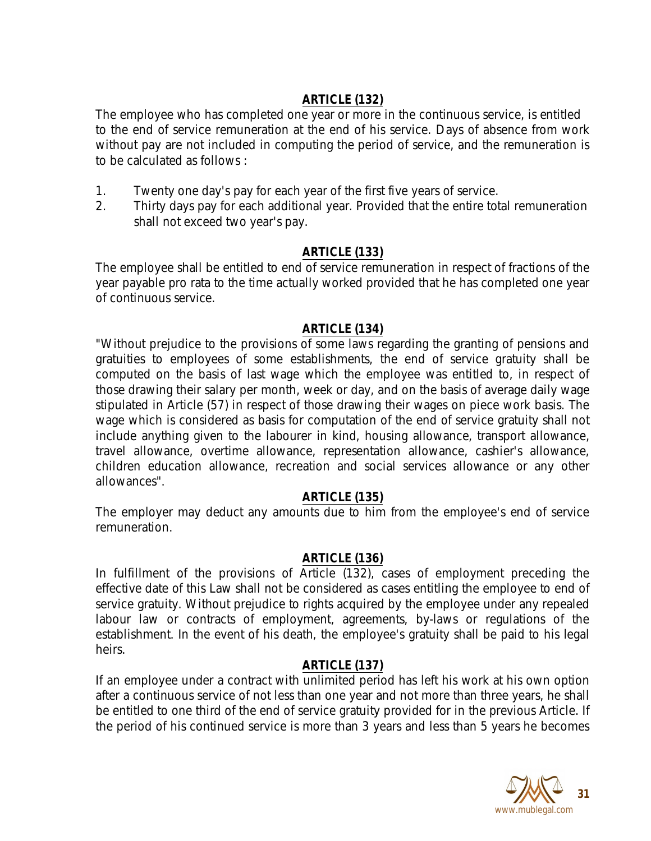# **ARTICLE (132)**

The employee who has completed one year or more in the continuous service, is entitled to the end of service remuneration at the end of his service. Days of absence from work without pay are not included in computing the period of service, and the remuneration is to be calculated as follows :

- 1. Twenty one day's pay for each year of the first five years of service.
- 2. Thirty days pay for each additional year. Provided that the entire total remuneration shall not exceed two year's pay.

# **ARTICLE (133)**

The employee shall be entitled to end of service remuneration in respect of fractions of the year payable pro rata to the time actually worked provided that he has completed one year of continuous service.

# **ARTICLE (134)**

"Without prejudice to the provisions of some laws regarding the granting of pensions and gratuities to employees of some establishments, the end of service gratuity shall be computed on the basis of last wage which the employee was entitled to, in respect of those drawing their salary per month, week or day, and on the basis of average daily wage stipulated in Article (57) in respect of those drawing their wages on piece work basis. The wage which is considered as basis for computation of the end of service gratuity shall not include anything given to the labourer in kind, housing allowance, transport allowance, travel allowance, overtime allowance, representation allowance, cashier's allowance, children education allowance, recreation and social services allowance or any other allowances".

## **ARTICLE (135)**

The employer may deduct any amounts due to him from the employee's end of service remuneration.

## **ARTICLE (136)**

In fulfillment of the provisions of Article (132), cases of employment preceding the effective date of this Law shall not be considered as cases entitling the employee to end of service gratuity. Without prejudice to rights acquired by the employee under any repealed labour law or contracts of employment, agreements, by-laws or regulations of the establishment. In the event of his death, the employee's gratuity shall be paid to his legal heirs.

# **ARTICLE (137)**

If an employee under a contract with unlimited period has left his work at his own option after a continuous service of not less than one year and not more than three years, he shall be entitled to one third of the end of service gratuity provided for in the previous Article. If the period of his continued service is more than 3 years and less than 5 years he becomes

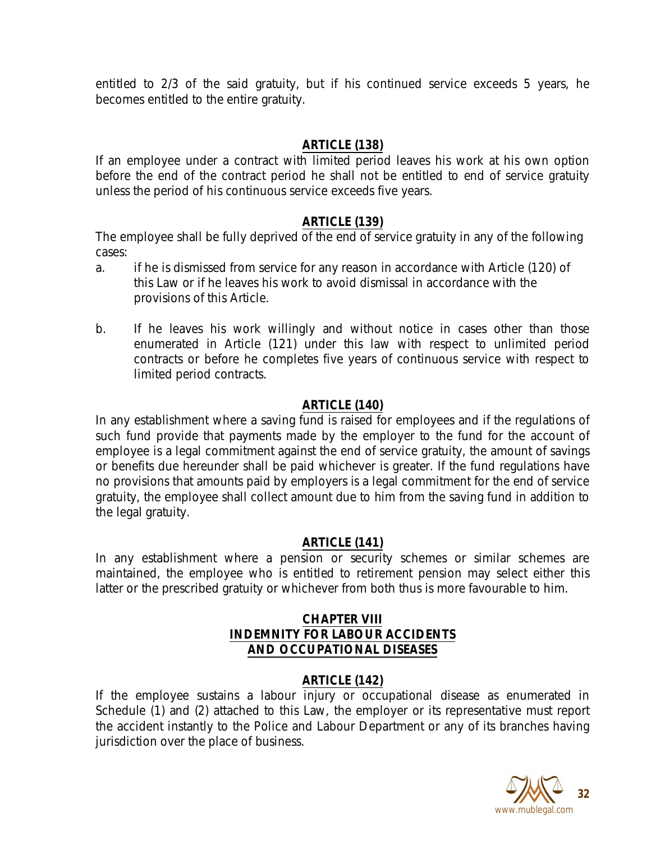entitled to 2/3 of the said gratuity, but if his continued service exceeds 5 years, he becomes entitled to the entire gratuity.

## **ARTICLE (138)**

If an employee under a contract with limited period leaves his work at his own option before the end of the contract period he shall not be entitled to end of service gratuity unless the period of his continuous service exceeds five years.

## **ARTICLE (139)**

The employee shall be fully deprived of the end of service gratuity in any of the following cases:

- a. if he is dismissed from service for any reason in accordance with Article (120) of this Law or if he leaves his work to avoid dismissal in accordance with the provisions of this Article.
- b. If he leaves his work willingly and without notice in cases other than those enumerated in Article (121) under this law with respect to unlimited period contracts or before he completes five years of continuous service with respect to limited period contracts.

# **ARTICLE (140)**

In any establishment where a saving fund is raised for employees and if the regulations of such fund provide that payments made by the employer to the fund for the account of employee is a legal commitment against the end of service gratuity, the amount of savings or benefits due hereunder shall be paid whichever is greater. If the fund regulations have no provisions that amounts paid by employers is a legal commitment for the end of service gratuity, the employee shall collect amount due to him from the saving fund in addition to the legal gratuity.

## **ARTICLE (141)**

In any establishment where a pension or security schemes or similar schemes are maintained, the employee who is entitled to retirement pension may select either this latter or the prescribed gratuity or whichever from both thus is more favourable to him.

## **CHAPTER VIII INDEMNITY FOR LABOUR ACCIDENTS AND OCCUPATIONAL DISEASES**

## **ARTICLE (142)**

If the employee sustains a labour injury or occupational disease as enumerated in Schedule (1) and (2) attached to this Law, the employer or its representative must report the accident instantly to the Police and Labour Department or any of its branches having jurisdiction over the place of business.

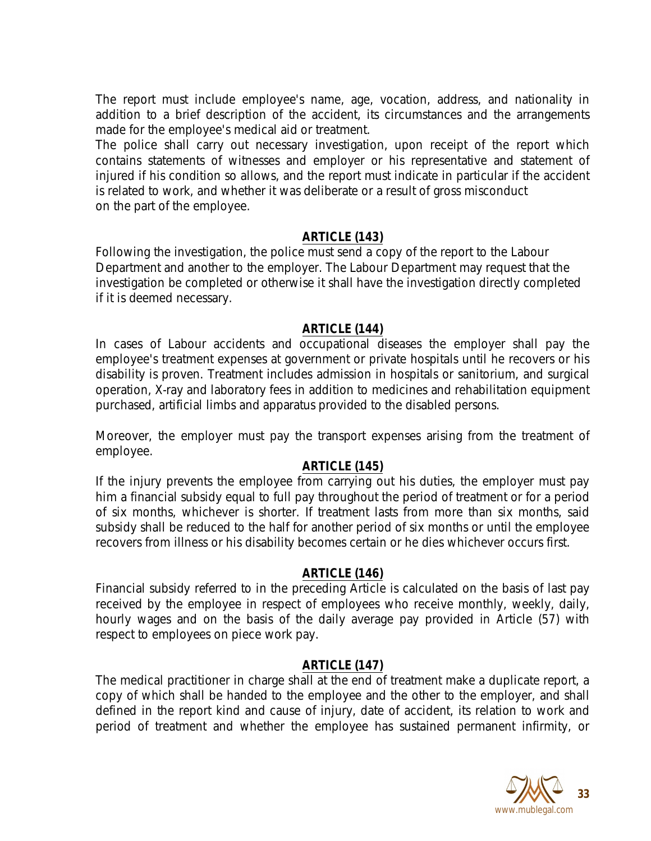The report must include employee's name, age, vocation, address, and nationality in addition to a brief description of the accident, its circumstances and the arrangements made for the employee's medical aid or treatment.

The police shall carry out necessary investigation, upon receipt of the report which contains statements of witnesses and employer or his representative and statement of injured if his condition so allows, and the report must indicate in particular if the accident is related to work, and whether it was deliberate or a result of gross misconduct on the part of the employee.

#### **ARTICLE (143)**

Following the investigation, the police must send a copy of the report to the Labour Department and another to the employer. The Labour Department may request that the investigation be completed or otherwise it shall have the investigation directly completed if it is deemed necessary.

#### **ARTICLE (144)**

In cases of Labour accidents and occupational diseases the employer shall pay the employee's treatment expenses at government or private hospitals until he recovers or his disability is proven. Treatment includes admission in hospitals or sanitorium, and surgical operation, X-ray and laboratory fees in addition to medicines and rehabilitation equipment purchased, artificial limbs and apparatus provided to the disabled persons.

Moreover, the employer must pay the transport expenses arising from the treatment of employee.

#### **ARTICLE (145)**

If the injury prevents the employee from carrying out his duties, the employer must pay him a financial subsidy equal to full pay throughout the period of treatment or for a period of six months, whichever is shorter. If treatment lasts from more than six months, said subsidy shall be reduced to the half for another period of six months or until the employee recovers from illness or his disability becomes certain or he dies whichever occurs first.

#### **ARTICLE (146)**

Financial subsidy referred to in the preceding Article is calculated on the basis of last pay received by the employee in respect of employees who receive monthly, weekly, daily, hourly wages and on the basis of the daily average pay provided in Article (57) with respect to employees on piece work pay.

#### **ARTICLE (147)**

The medical practitioner in charge shall at the end of treatment make a duplicate report, a copy of which shall be handed to the employee and the other to the employer, and shall defined in the report kind and cause of injury, date of accident, its relation to work and period of treatment and whether the employee has sustained permanent infirmity, or

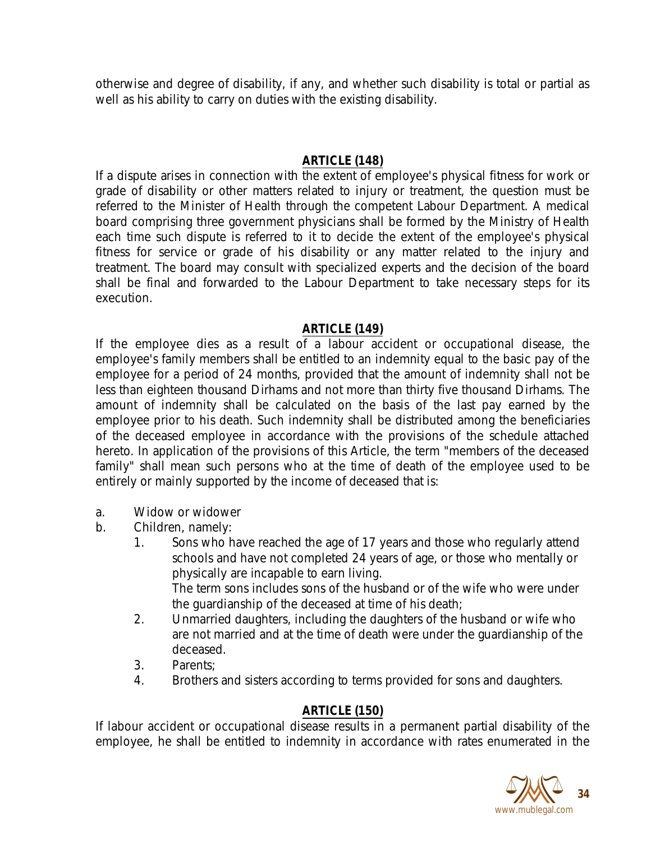otherwise and degree of disability, if any, and whether such disability is total or partial as well as his ability to carry on duties with the existing disability.

# **ARTICLE (148)**

If a dispute arises in connection with the extent of employee's physical fitness for work or grade of disability or other matters related to injury or treatment, the question must be referred to the Minister of Health through the competent Labour Department. A medical board comprising three government physicians shall be formed by the Ministry of Health each time such dispute is referred to it to decide the extent of the employee's physical fitness for service or grade of his disability or any matter related to the injury and treatment. The board may consult with specialized experts and the decision of the board shall be final and forwarded to the Labour Department to take necessary steps for its execution.

## **ARTICLE (149)**

If the employee dies as a result of a labour accident or occupational disease, the employee's family members shall be entitled to an indemnity equal to the basic pay of the employee for a period of 24 months, provided that the amount of indemnity shall not be less than eighteen thousand Dirhams and not more than thirty five thousand Dirhams. The amount of indemnity shall be calculated on the basis of the last pay earned by the employee prior to his death. Such indemnity shall be distributed among the beneficiaries of the deceased employee in accordance with the provisions of the schedule attached hereto. In application of the provisions of this Article, the term "members of the deceased family" shall mean such persons who at the time of death of the employee used to be entirely or mainly supported by the income of deceased that is:

- a. Widow or widower
- b. Children, namely:
	- 1. Sons who have reached the age of 17 years and those who regularly attend schools and have not completed 24 years of age, or those who mentally or physically are incapable to earn living. The term sons includes sons of the husband or of the wife who were under the guardianship of the deceased at time of his death;
	- 2. Unmarried daughters, including the daughters of the husband or wife who are not married and at the time of death were under the guardianship of the deceased.
	- 3. Parents;
	- 4. Brothers and sisters according to terms provided for sons and daughters.

## **ARTICLE (150)**

If labour accident or occupational disease results in a permanent partial disability of the employee, he shall be entitled to indemnity in accordance with rates enumerated in the

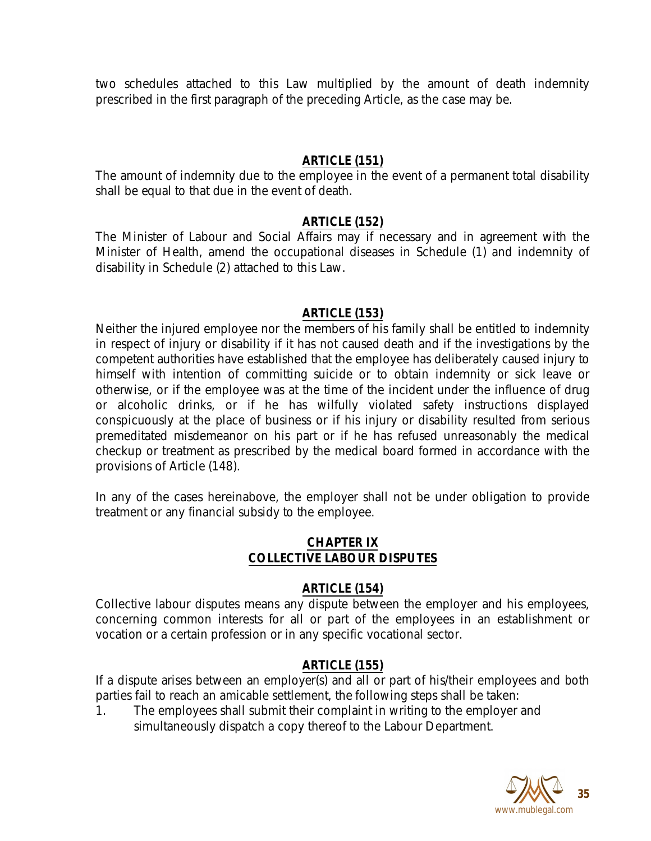two schedules attached to this Law multiplied by the amount of death indemnity prescribed in the first paragraph of the preceding Article, as the case may be.

### **ARTICLE (151)**

The amount of indemnity due to the employee in the event of a permanent total disability shall be equal to that due in the event of death.

### **ARTICLE (152)**

The Minister of Labour and Social Affairs may if necessary and in agreement with the Minister of Health, amend the occupational diseases in Schedule (1) and indemnity of disability in Schedule (2) attached to this Law.

### **ARTICLE (153)**

Neither the injured employee nor the members of his family shall be entitled to indemnity in respect of injury or disability if it has not caused death and if the investigations by the competent authorities have established that the employee has deliberately caused injury to himself with intention of committing suicide or to obtain indemnity or sick leave or otherwise, or if the employee was at the time of the incident under the influence of drug or alcoholic drinks, or if he has wilfully violated safety instructions displayed conspicuously at the place of business or if his injury or disability resulted from serious premeditated misdemeanor on his part or if he has refused unreasonably the medical checkup or treatment as prescribed by the medical board formed in accordance with the provisions of Article (148).

In any of the cases hereinabove, the employer shall not be under obligation to provide treatment or any financial subsidy to the employee.

#### **CHAPTER IX COLLECTIVE LABOUR DISPUTES**

#### **ARTICLE (154)**

Collective labour disputes means any dispute between the employer and his employees, concerning common interests for all or part of the employees in an establishment or vocation or a certain profession or in any specific vocational sector.

#### **ARTICLE (155)**

If a dispute arises between an employer(s) and all or part of his/their employees and both parties fail to reach an amicable settlement, the following steps shall be taken:

1. The employees shall submit their complaint in writing to the employer and simultaneously dispatch a copy thereof to the Labour Department.

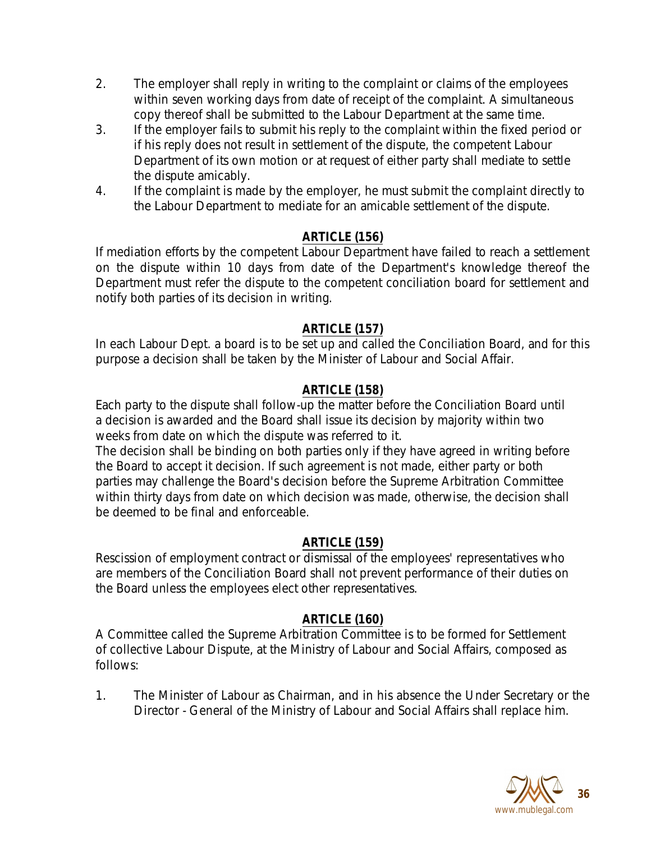- 2. The employer shall reply in writing to the complaint or claims of the employees within seven working days from date of receipt of the complaint. A simultaneous copy thereof shall be submitted to the Labour Department at the same time.
- 3. If the employer fails to submit his reply to the complaint within the fixed period or if his reply does not result in settlement of the dispute, the competent Labour Department of its own motion or at request of either party shall mediate to settle the dispute amicably.
- 4. If the complaint is made by the employer, he must submit the complaint directly to the Labour Department to mediate for an amicable settlement of the dispute.

# **ARTICLE (156)**

If mediation efforts by the competent Labour Department have failed to reach a settlement on the dispute within 10 days from date of the Department's knowledge thereof the Department must refer the dispute to the competent conciliation board for settlement and notify both parties of its decision in writing.

## **ARTICLE (157)**

In each Labour Dept. a board is to be set up and called the Conciliation Board, and for this purpose a decision shall be taken by the Minister of Labour and Social Affair.

## **ARTICLE (158)**

Each party to the dispute shall follow-up the matter before the Conciliation Board until a decision is awarded and the Board shall issue its decision by majority within two weeks from date on which the dispute was referred to it.

The decision shall be binding on both parties only if they have agreed in writing before the Board to accept it decision. If such agreement is not made, either party or both parties may challenge the Board's decision before the Supreme Arbitration Committee within thirty days from date on which decision was made, otherwise, the decision shall be deemed to be final and enforceable.

## **ARTICLE (159)**

Rescission of employment contract or dismissal of the employees' representatives who are members of the Conciliation Board shall not prevent performance of their duties on the Board unless the employees elect other representatives.

## **ARTICLE (160)**

A Committee called the Supreme Arbitration Committee is to be formed for Settlement of collective Labour Dispute, at the Ministry of Labour and Social Affairs, composed as follows:

1. The Minister of Labour as Chairman, and in his absence the Under Secretary or the Director - General of the Ministry of Labour and Social Affairs shall replace him.

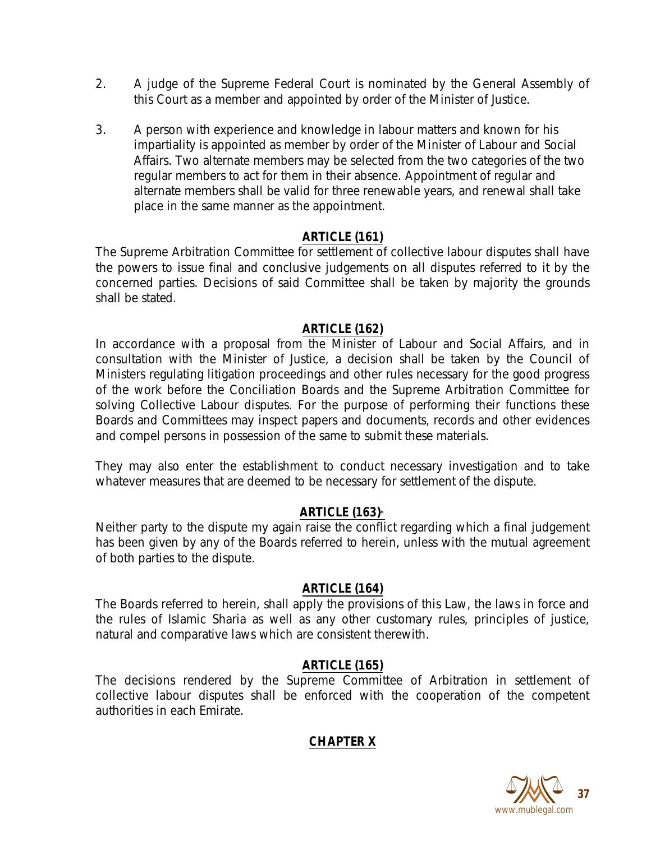- 2. A judge of the Supreme Federal Court is nominated by the General Assembly of this Court as a member and appointed by order of the Minister of Justice.
- 3. A person with experience and knowledge in labour matters and known for his impartiality is appointed as member by order of the Minister of Labour and Social Affairs. Two alternate members may be selected from the two categories of the two regular members to act for them in their absence. Appointment of regular and alternate members shall be valid for three renewable years, and renewal shall take place in the same manner as the appointment.

## **ARTICLE (161)**

The Supreme Arbitration Committee for settlement of collective labour disputes shall have the powers to issue final and conclusive judgements on all disputes referred to it by the concerned parties. Decisions of said Committee shall be taken by majority the grounds shall be stated.

#### **ARTICLE (162)**

In accordance with a proposal from the Minister of Labour and Social Affairs, and in consultation with the Minister of Justice, a decision shall be taken by the Council of Ministers regulating litigation proceedings and other rules necessary for the good progress of the work before the Conciliation Boards and the Supreme Arbitration Committee for solving Collective Labour disputes. For the purpose of performing their functions these Boards and Committees may inspect papers and documents, records and other evidences and compel persons in possession of the same to submit these materials.

They may also enter the establishment to conduct necessary investigation and to take whatever measures that are deemed to be necessary for settlement of the dispute.

#### **ARTICLE (163)**\*

Neither party to the dispute my again raise the conflict regarding which a final judgement has been given by any of the Boards referred to herein, unless with the mutual agreement of both parties to the dispute.

#### **ARTICLE (164)**

The Boards referred to herein, shall apply the provisions of this Law, the laws in force and the rules of Islamic Sharia as well as any other customary rules, principles of justice, natural and comparative laws which are consistent therewith.

#### **ARTICLE (165)**

The decisions rendered by the Supreme Committee of Arbitration in settlement of collective labour disputes shall be enforced with the cooperation of the competent authorities in each Emirate.

## **CHAPTER X**

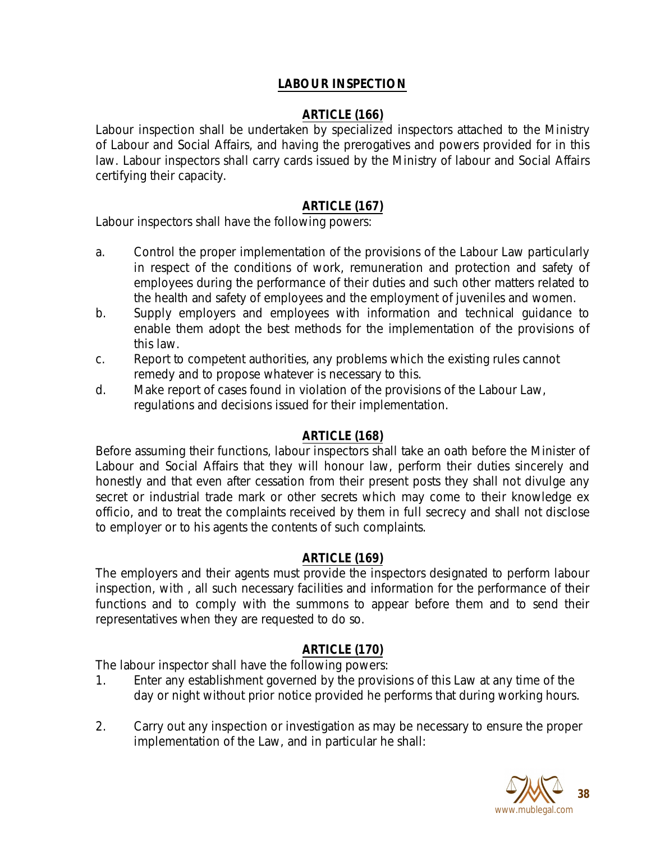## **LABOUR INSPECTION**

# **ARTICLE (166)**

Labour inspection shall be undertaken by specialized inspectors attached to the Ministry of Labour and Social Affairs, and having the prerogatives and powers provided for in this law. Labour inspectors shall carry cards issued by the Ministry of labour and Social Affairs certifying their capacity.

## **ARTICLE (167)**

Labour inspectors shall have the following powers:

- a. Control the proper implementation of the provisions of the Labour Law particularly in respect of the conditions of work, remuneration and protection and safety of employees during the performance of their duties and such other matters related to the health and safety of employees and the employment of juveniles and women.
- b. Supply employers and employees with information and technical guidance to enable them adopt the best methods for the implementation of the provisions of this law.
- c. Report to competent authorities, any problems which the existing rules cannot remedy and to propose whatever is necessary to this.
- d. Make report of cases found in violation of the provisions of the Labour Law, regulations and decisions issued for their implementation.

## **ARTICLE (168)**

Before assuming their functions, labour inspectors shall take an oath before the Minister of Labour and Social Affairs that they will honour law, perform their duties sincerely and honestly and that even after cessation from their present posts they shall not divulge any secret or industrial trade mark or other secrets which may come to their knowledge ex officio, and to treat the complaints received by them in full secrecy and shall not disclose to employer or to his agents the contents of such complaints.

#### **ARTICLE (169)**

The employers and their agents must provide the inspectors designated to perform labour inspection, with , all such necessary facilities and information for the performance of their functions and to comply with the summons to appear before them and to send their representatives when they are requested to do so.

## **ARTICLE (170)**

The labour inspector shall have the following powers:

- 1. Enter any establishment governed by the provisions of this Law at any time of the day or night without prior notice provided he performs that during working hours.
- 2. Carry out any inspection or investigation as may be necessary to ensure the proper implementation of the Law, and in particular he shall:

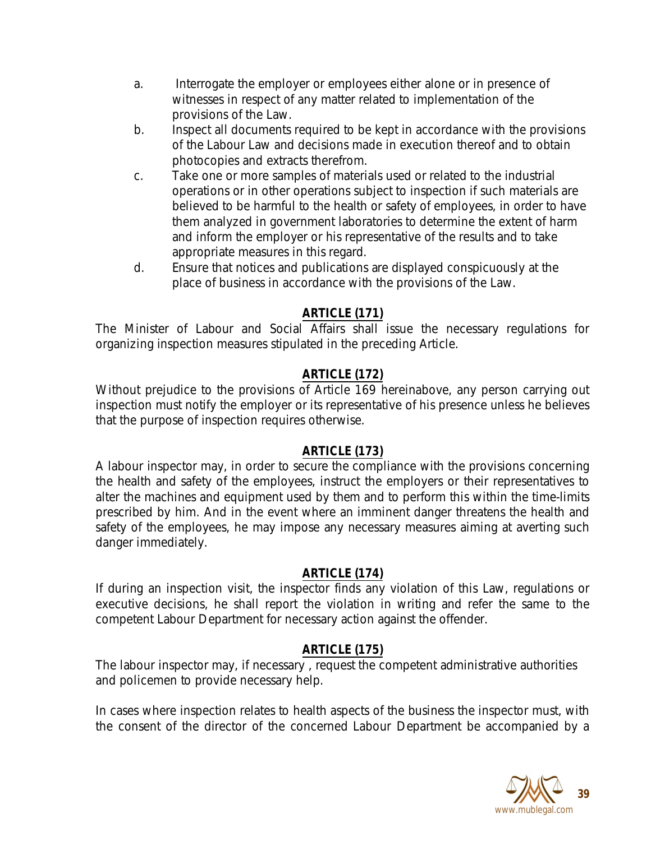- a. Interrogate the employer or employees either alone or in presence of witnesses in respect of any matter related to implementation of the provisions of the Law.
- b. Inspect all documents required to be kept in accordance with the provisions of the Labour Law and decisions made in execution thereof and to obtain photocopies and extracts therefrom.
- c. Take one or more samples of materials used or related to the industrial operations or in other operations subject to inspection if such materials are believed to be harmful to the health or safety of employees, in order to have them analyzed in government laboratories to determine the extent of harm and inform the employer or his representative of the results and to take appropriate measures in this regard.
- d. Ensure that notices and publications are displayed conspicuously at the place of business in accordance with the provisions of the Law.

# **ARTICLE (171)**

The Minister of Labour and Social Affairs shall issue the necessary regulations for organizing inspection measures stipulated in the preceding Article.

# **ARTICLE (172)**

Without prejudice to the provisions of Article 169 hereinabove, any person carrying out inspection must notify the employer or its representative of his presence unless he believes that the purpose of inspection requires otherwise.

# **ARTICLE (173)**

A labour inspector may, in order to secure the compliance with the provisions concerning the health and safety of the employees, instruct the employers or their representatives to alter the machines and equipment used by them and to perform this within the time-limits prescribed by him. And in the event where an imminent danger threatens the health and safety of the employees, he may impose any necessary measures aiming at averting such danger immediately.

# **ARTICLE (174)**

If during an inspection visit, the inspector finds any violation of this Law, regulations or executive decisions, he shall report the violation in writing and refer the same to the competent Labour Department for necessary action against the offender.

# **ARTICLE (175)**

The labour inspector may, if necessary , request the competent administrative authorities and policemen to provide necessary help.

In cases where inspection relates to health aspects of the business the inspector must, with the consent of the director of the concerned Labour Department be accompanied by a

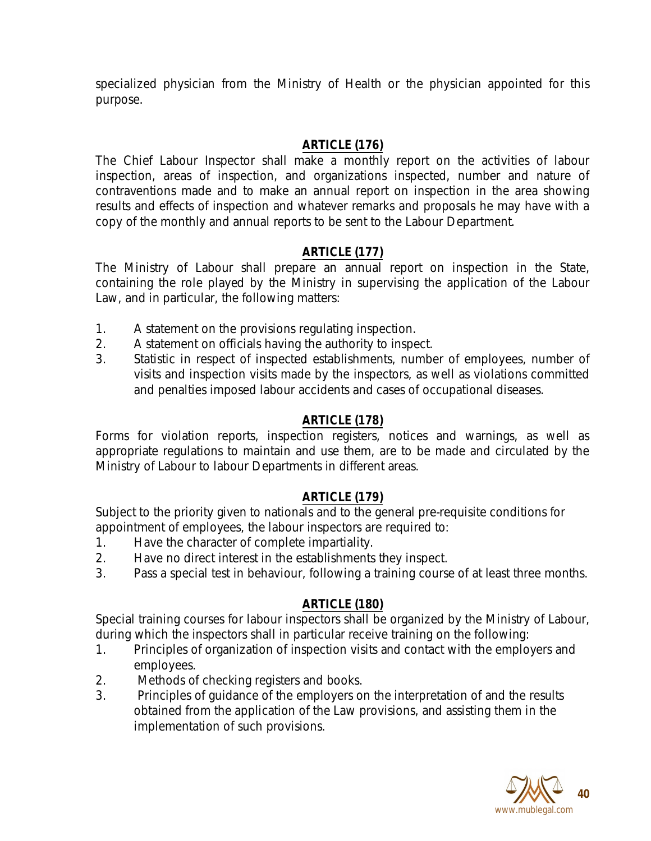specialized physician from the Ministry of Health or the physician appointed for this purpose.

# **ARTICLE (176)**

The Chief Labour Inspector shall make a monthly report on the activities of labour inspection, areas of inspection, and organizations inspected, number and nature of contraventions made and to make an annual report on inspection in the area showing results and effects of inspection and whatever remarks and proposals he may have with a copy of the monthly and annual reports to be sent to the Labour Department.

# **ARTICLE (177)**

The Ministry of Labour shall prepare an annual report on inspection in the State, containing the role played by the Ministry in supervising the application of the Labour Law, and in particular, the following matters:

- 1. A statement on the provisions regulating inspection.
- 2. A statement on officials having the authority to inspect.
- 3. Statistic in respect of inspected establishments, number of employees, number of visits and inspection visits made by the inspectors, as well as violations committed and penalties imposed labour accidents and cases of occupational diseases.

# **ARTICLE (178)**

Forms for violation reports, inspection registers, notices and warnings, as well as appropriate regulations to maintain and use them, are to be made and circulated by the Ministry of Labour to labour Departments in different areas.

## **ARTICLE (179)**

Subject to the priority given to nationals and to the general pre-requisite conditions for appointment of employees, the labour inspectors are required to:

- 1. Have the character of complete impartiality.
- 2. Have no direct interest in the establishments they inspect.
- 3. Pass a special test in behaviour, following a training course of at least three months.

# **ARTICLE (180)**

Special training courses for labour inspectors shall be organized by the Ministry of Labour, during which the inspectors shall in particular receive training on the following:

- 1. Principles of organization of inspection visits and contact with the employers and employees.
- 2. Methods of checking registers and books.
- 3. Principles of guidance of the employers on the interpretation of and the results obtained from the application of the Law provisions, and assisting them in the implementation of such provisions.

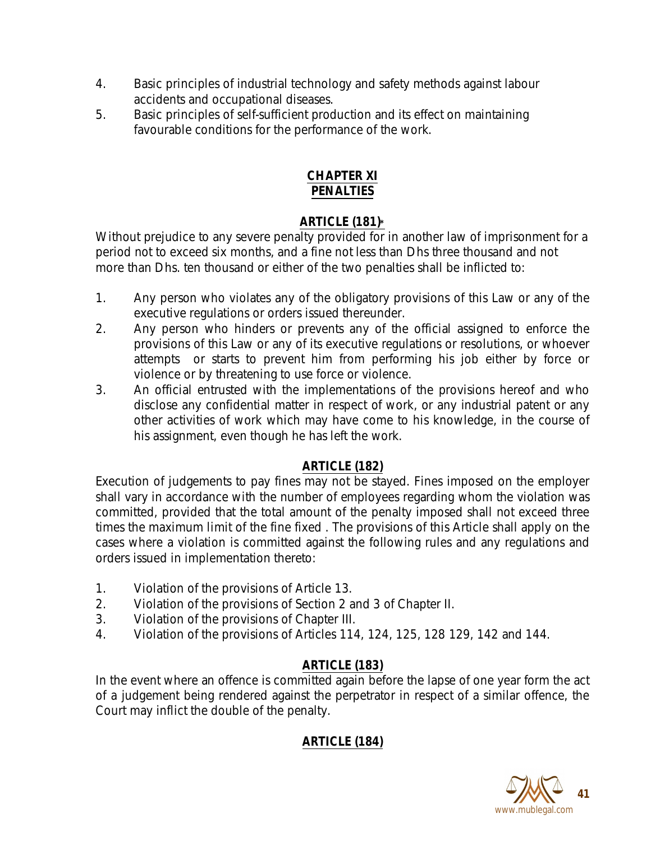- 4. Basic principles of industrial technology and safety methods against labour accidents and occupational diseases.
- 5. Basic principles of self-sufficient production and its effect on maintaining favourable conditions for the performance of the work.

## **CHAPTER XI PENALTIES**

# **ARTICLE (181)\***

Without prejudice to any severe penalty provided for in another law of imprisonment for a period not to exceed six months, and a fine not less than Dhs three thousand and not more than Dhs. ten thousand or either of the two penalties shall be inflicted to:

- 1. Any person who violates any of the obligatory provisions of this Law or any of the executive regulations or orders issued thereunder.
- 2. Any person who hinders or prevents any of the official assigned to enforce the provisions of this Law or any of its executive regulations or resolutions, or whoever attempts or starts to prevent him from performing his job either by force or violence or by threatening to use force or violence.
- 3. An official entrusted with the implementations of the provisions hereof and who disclose any confidential matter in respect of work, or any industrial patent or any other activities of work which may have come to his knowledge, in the course of his assignment, even though he has left the work.

# **ARTICLE (182)**

Execution of judgements to pay fines may not be stayed. Fines imposed on the employer shall vary in accordance with the number of employees regarding whom the violation was committed, provided that the total amount of the penalty imposed shall not exceed three times the maximum limit of the fine fixed . The provisions of this Article shall apply on the cases where a violation is committed against the following rules and any regulations and orders issued in implementation thereto:

- 1. Violation of the provisions of Article 13.
- 2. Violation of the provisions of Section 2 and 3 of Chapter II.
- 3. Violation of the provisions of Chapter III.
- 4. Violation of the provisions of Articles 114, 124, 125, 128 129, 142 and 144.

# **ARTICLE (183)**

In the event where an offence is committed again before the lapse of one year form the act of a judgement being rendered against the perpetrator in respect of a similar offence, the Court may inflict the double of the penalty.

# **ARTICLE (184)**

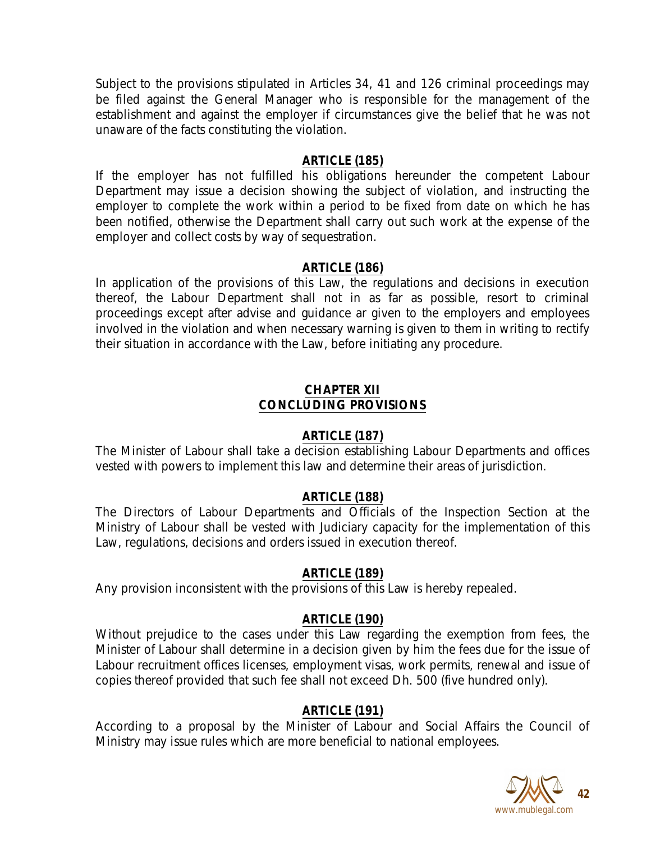Subject to the provisions stipulated in Articles 34, 41 and 126 criminal proceedings may be filed against the General Manager who is responsible for the management of the establishment and against the employer if circumstances give the belief that he was not unaware of the facts constituting the violation.

### **ARTICLE (185)**

If the employer has not fulfilled his obligations hereunder the competent Labour Department may issue a decision showing the subject of violation, and instructing the employer to complete the work within a period to be fixed from date on which he has been notified, otherwise the Department shall carry out such work at the expense of the employer and collect costs by way of sequestration.

### **ARTICLE (186)**

In application of the provisions of this Law, the regulations and decisions in execution thereof, the Labour Department shall not in as far as possible, resort to criminal proceedings except after advise and guidance ar given to the employers and employees involved in the violation and when necessary warning is given to them in writing to rectify their situation in accordance with the Law, before initiating any procedure.

### **CHAPTER XII CONCLUDING PROVISIONS**

## **ARTICLE (187)**

The Minister of Labour shall take a decision establishing Labour Departments and offices vested with powers to implement this law and determine their areas of jurisdiction.

## **ARTICLE (188)**

The Directors of Labour Departments and Officials of the Inspection Section at the Ministry of Labour shall be vested with Judiciary capacity for the implementation of this Law, regulations, decisions and orders issued in execution thereof.

## **ARTICLE (189)**

Any provision inconsistent with the provisions of this Law is hereby repealed.

## **ARTICLE (190)**

Without prejudice to the cases under this Law regarding the exemption from fees, the Minister of Labour shall determine in a decision given by him the fees due for the issue of Labour recruitment offices licenses, employment visas, work permits, renewal and issue of copies thereof provided that such fee shall not exceed Dh. 500 (five hundred only).

## **ARTICLE (191)**

According to a proposal by the Minister of Labour and Social Affairs the Council of Ministry may issue rules which are more beneficial to national employees.

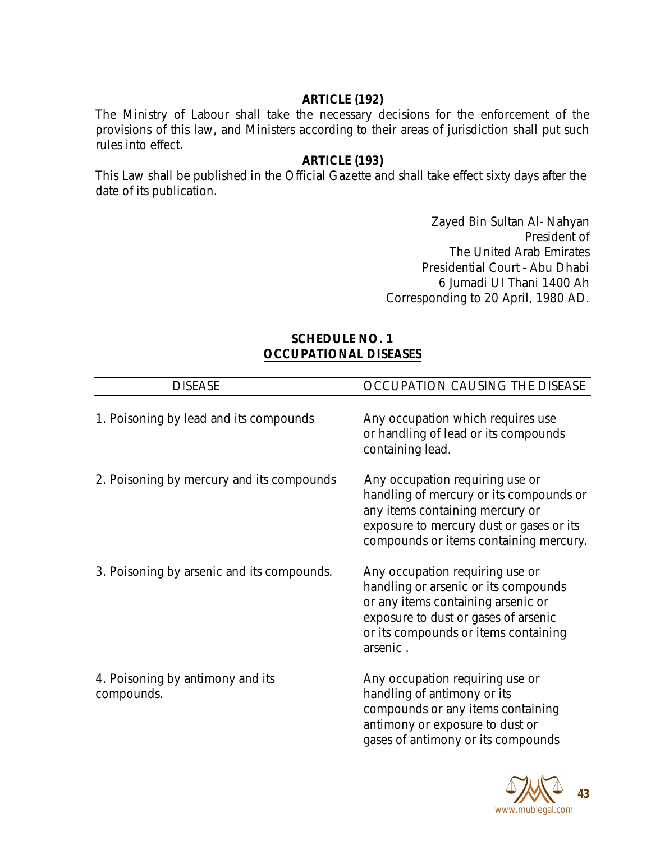## **ARTICLE (192)**

The Ministry of Labour shall take the necessary decisions for the enforcement of the provisions of this law, and Ministers according to their areas of jurisdiction shall put such rules into effect.

### **ARTICLE (193)**

This Law shall be published in the Official Gazette and shall take effect sixty days after the date of its publication.

> Zayed Bin Sultan Al- Nahyan President of The United Arab Emirates Presidential Court - Abu Dhabi 6 Jumadi Ul Thani 1400 Ah Corresponding to 20 April, 1980 AD.

### **SCHEDULE NO. 1 OCCUPATIONAL DISEASES**

| <b>DISEASE</b>                                 | OCCUPATION CAUSING THE DISEASE                                                                                                                                                                            |
|------------------------------------------------|-----------------------------------------------------------------------------------------------------------------------------------------------------------------------------------------------------------|
| 1. Poisoning by lead and its compounds         | Any occupation which requires use<br>or handling of lead or its compounds<br>containing lead.                                                                                                             |
| 2. Poisoning by mercury and its compounds      | Any occupation requiring use or<br>handling of mercury or its compounds or<br>any items containing mercury or<br>exposure to mercury dust or gases or its<br>compounds or items containing mercury.       |
| 3. Poisoning by arsenic and its compounds.     | Any occupation requiring use or<br>handling or arsenic or its compounds<br>or any items containing arsenic or<br>exposure to dust or gases of arsenic<br>or its compounds or items containing<br>arsenic. |
| 4. Poisoning by antimony and its<br>compounds. | Any occupation requiring use or<br>handling of antimony or its<br>compounds or any items containing<br>antimony or exposure to dust or<br>gases of antimony or its compounds                              |

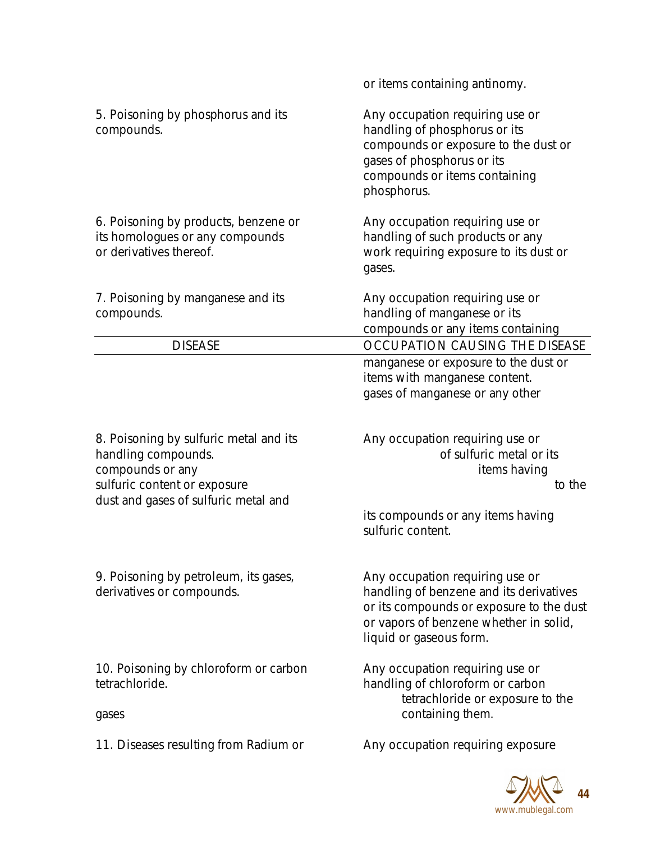|                                                                                                                                                           | or items containing antinomy.                                                                                                                                                               |
|-----------------------------------------------------------------------------------------------------------------------------------------------------------|---------------------------------------------------------------------------------------------------------------------------------------------------------------------------------------------|
| 5. Poisoning by phosphorus and its<br>compounds.                                                                                                          | Any occupation requiring use or<br>handling of phosphorus or its<br>compounds or exposure to the dust or<br>gases of phosphorus or its<br>compounds or items containing<br>phosphorus.      |
| 6. Poisoning by products, benzene or<br>its homologues or any compounds<br>or derivatives thereof.                                                        | Any occupation requiring use or<br>handling of such products or any<br>work requiring exposure to its dust or<br>gases.                                                                     |
| 7. Poisoning by manganese and its<br>compounds.                                                                                                           | Any occupation requiring use or<br>handling of manganese or its<br>compounds or any items containing                                                                                        |
| <b>DISEASE</b>                                                                                                                                            | OCCUPATION CAUSING THE DISEASE                                                                                                                                                              |
|                                                                                                                                                           | manganese or exposure to the dust or<br>items with manganese content.<br>gases of manganese or any other                                                                                    |
| 8. Poisoning by sulfuric metal and its<br>handling compounds.<br>compounds or any<br>sulfuric content or exposure<br>dust and gases of sulfuric metal and | Any occupation requiring use or<br>of sulfuric metal or its<br>items having<br>to the<br>its compounds or any items having<br>sulfuric content.                                             |
| 9. Poisoning by petroleum, its gases,<br>derivatives or compounds.                                                                                        | Any occupation requiring use or<br>handling of benzene and its derivatives<br>or its compounds or exposure to the dust<br>or vapors of benzene whether in solid,<br>liquid or gaseous form. |
| 10. Poisoning by chloroform or carbon<br>tetrachloride.<br>gases                                                                                          | Any occupation requiring use or<br>handling of chloroform or carbon<br>tetrachloride or exposure to the<br>containing them.                                                                 |
| 11. Diseases resulting from Radium or                                                                                                                     | Any occupation requiring exposure                                                                                                                                                           |

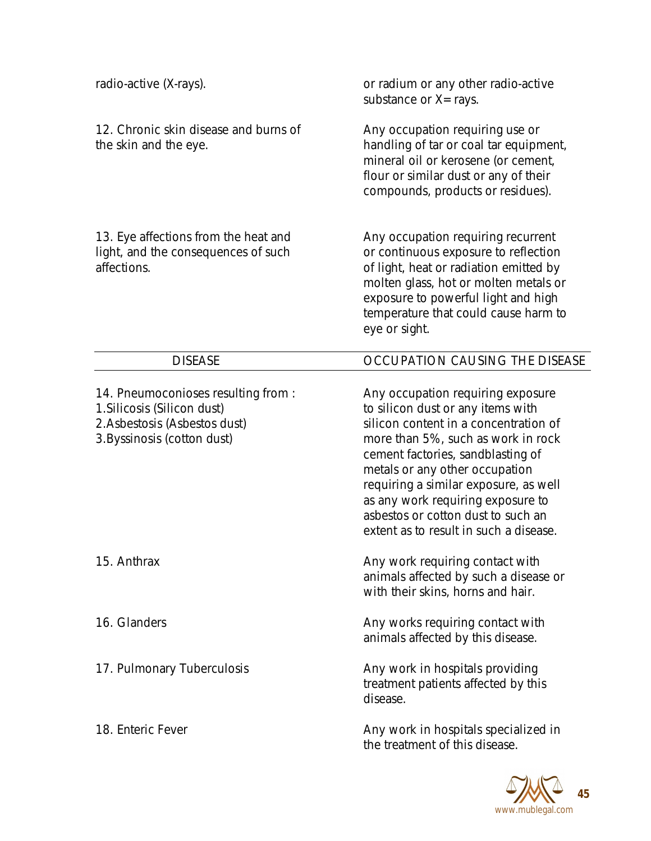| radio-active (X-rays).                                                                                                            | or radium or any other radio-active<br>substance or $X = rays$ .                                                                                                                                                                                                                                                                                                                           |
|-----------------------------------------------------------------------------------------------------------------------------------|--------------------------------------------------------------------------------------------------------------------------------------------------------------------------------------------------------------------------------------------------------------------------------------------------------------------------------------------------------------------------------------------|
| 12. Chronic skin disease and burns of<br>the skin and the eye.                                                                    | Any occupation requiring use or<br>handling of tar or coal tar equipment,<br>mineral oil or kerosene (or cement,<br>flour or similar dust or any of their<br>compounds, products or residues).                                                                                                                                                                                             |
| 13. Eye affections from the heat and<br>light, and the consequences of such<br>affections.                                        | Any occupation requiring recurrent<br>or continuous exposure to reflection<br>of light, heat or radiation emitted by<br>molten glass, hot or molten metals or<br>exposure to powerful light and high<br>temperature that could cause harm to<br>eye or sight.                                                                                                                              |
| <b>DISEASE</b>                                                                                                                    | OCCUPATION CAUSING THE DISEASE                                                                                                                                                                                                                                                                                                                                                             |
| 14. Pneumoconioses resulting from:<br>1. Silicosis (Silicon dust)<br>2. Asbestosis (Asbestos dust)<br>3. Byssinosis (cotton dust) | Any occupation requiring exposure<br>to silicon dust or any items with<br>silicon content in a concentration of<br>more than 5%, such as work in rock<br>cement factories, sandblasting of<br>metals or any other occupation<br>requiring a similar exposure, as well<br>as any work requiring exposure to<br>asbestos or cotton dust to such an<br>extent as to result in such a disease. |
| 15. Anthrax                                                                                                                       | Any work requiring contact with<br>animals affected by such a disease or<br>with their skins, horns and hair.                                                                                                                                                                                                                                                                              |
| 16. Glanders                                                                                                                      | Any works requiring contact with<br>animals affected by this disease.                                                                                                                                                                                                                                                                                                                      |
| 17. Pulmonary Tuberculosis                                                                                                        | Any work in hospitals providing<br>treatment patients affected by this<br>disease.                                                                                                                                                                                                                                                                                                         |
| 18. Enteric Fever                                                                                                                 | Any work in hospitals specialized in<br>the treatment of this disease.                                                                                                                                                                                                                                                                                                                     |

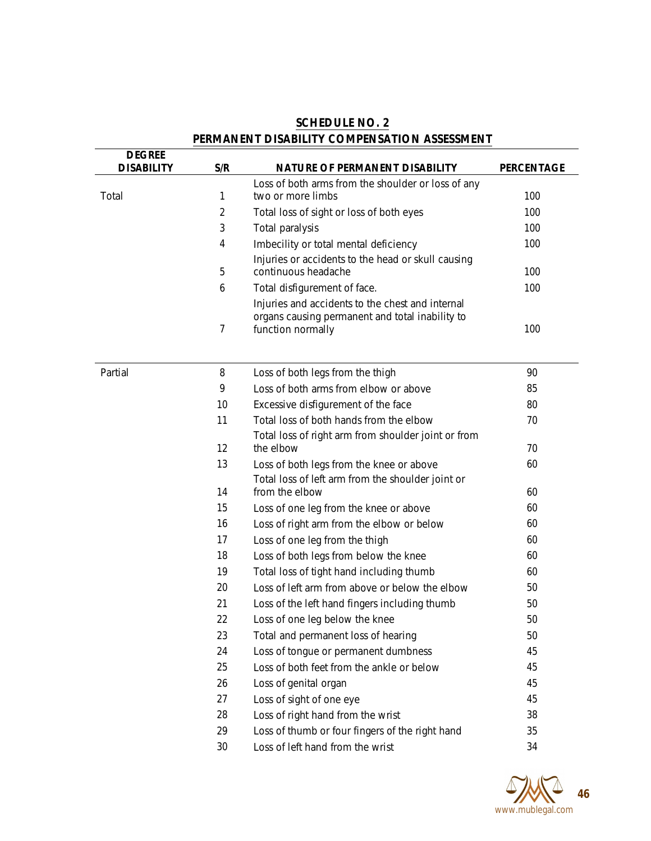| <b>DEGREE</b>     |     |                                                                                                                          |                   |
|-------------------|-----|--------------------------------------------------------------------------------------------------------------------------|-------------------|
| <b>DISABILITY</b> | S/R | <b>NATURE OF PERMANENT DISABILITY</b>                                                                                    | <b>PERCENTAGE</b> |
|                   |     | Loss of both arms from the shoulder or loss of any                                                                       |                   |
| Total             | 1   | two or more limbs                                                                                                        | 100               |
|                   | 2   | Total loss of sight or loss of both eyes                                                                                 | 100               |
|                   | 3   | Total paralysis                                                                                                          | 100               |
|                   | 4   | Imbecility or total mental deficiency                                                                                    | 100               |
|                   | 5   | Injuries or accidents to the head or skull causing<br>continuous headache                                                | 100               |
|                   | 6   | Total disfigurement of face.                                                                                             | 100               |
|                   | 7   | Injuries and accidents to the chest and internal<br>organs causing permanent and total inability to<br>function normally | 100               |
| Partial           | 8   | Loss of both legs from the thigh                                                                                         | 90                |
|                   | 9   | Loss of both arms from elbow or above                                                                                    | 85                |
|                   | 10  | Excessive disfigurement of the face                                                                                      | 80                |
|                   | 11  | Total loss of both hands from the elbow                                                                                  | 70                |
|                   |     | Total loss of right arm from shoulder joint or from                                                                      |                   |
|                   | 12  | the elbow                                                                                                                | 70                |
|                   | 13  | Loss of both legs from the knee or above                                                                                 | 60                |
|                   | 14  | Total loss of left arm from the shoulder joint or<br>from the elbow                                                      | 60                |
|                   | 15  | Loss of one leg from the knee or above                                                                                   | 60                |
|                   | 16  | Loss of right arm from the elbow or below                                                                                | 60                |
|                   | 17  | Loss of one leg from the thigh                                                                                           | 60                |
|                   | 18  | Loss of both legs from below the knee                                                                                    | 60                |
|                   | 19  | Total loss of tight hand including thumb                                                                                 | 60                |
|                   | 20  | Loss of left arm from above or below the elbow                                                                           | 50                |
|                   | 21  | Loss of the left hand fingers including thumb                                                                            | 50                |
|                   | 22  | Loss of one leg below the knee                                                                                           | 50                |
|                   | 23  | Total and permanent loss of hearing                                                                                      | 50                |
|                   | 24  | Loss of tongue or permanent dumbness                                                                                     | 45                |
|                   | 25  | Loss of both feet from the ankle or below                                                                                | 45                |
|                   | 26  | Loss of genital organ                                                                                                    | 45                |
|                   | 27  | Loss of sight of one eye                                                                                                 | 45                |
|                   | 28  | Loss of right hand from the wrist                                                                                        | 38                |
|                   | 29  | Loss of thumb or four fingers of the right hand                                                                          | 35                |
|                   | 30  | Loss of left hand from the wrist                                                                                         | 34                |

## **SCHEDULE NO. 2 PERMANENT DISABILITY COMPENSATION ASSESSMENT**

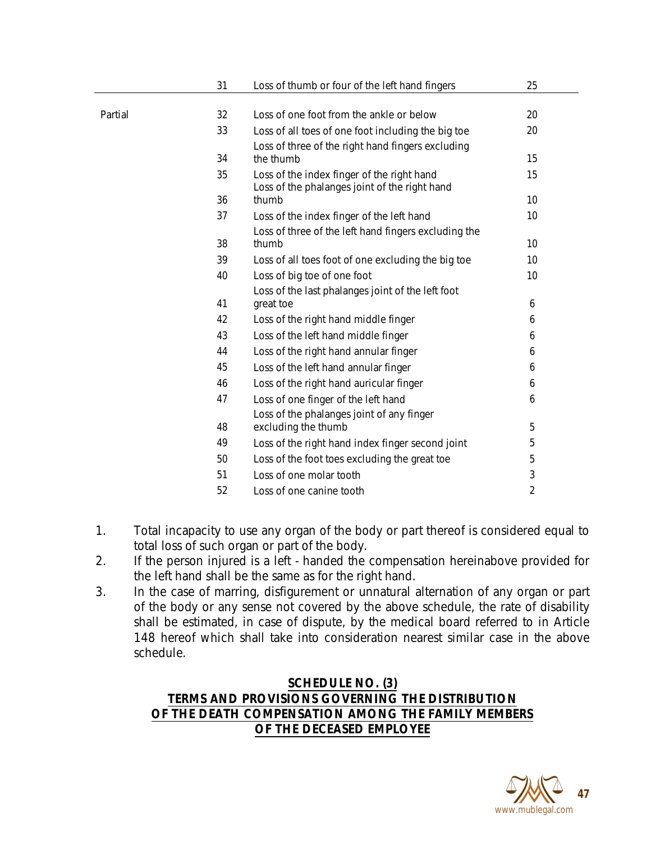|         | 31 | Loss of thumb or four of the left hand fingers                 | 25             |
|---------|----|----------------------------------------------------------------|----------------|
|         |    |                                                                |                |
| Partial | 32 | Loss of one foot from the ankle or below                       | 20             |
|         | 33 | Loss of all toes of one foot including the big toe             | 20             |
|         |    | Loss of three of the right hand fingers excluding              |                |
|         | 34 | the thumb                                                      | 15             |
|         | 35 | Loss of the index finger of the right hand                     | 15             |
|         | 36 | Loss of the phalanges joint of the right hand<br>thumb         | 10             |
|         | 37 |                                                                | 10             |
|         |    | Loss of the index finger of the left hand                      |                |
|         | 38 | Loss of three of the left hand fingers excluding the<br>thumb  | 10             |
|         | 39 | Loss of all toes foot of one excluding the big toe             | 10             |
|         | 40 |                                                                | 10             |
|         |    | Loss of big toe of one foot                                    |                |
|         | 41 | Loss of the last phalanges joint of the left foot<br>great toe | 6              |
|         | 42 | Loss of the right hand middle finger                           | 6              |
|         | 43 | Loss of the left hand middle finger                            | 6              |
|         | 44 |                                                                |                |
|         |    | Loss of the right hand annular finger                          | 6              |
|         | 45 | Loss of the left hand annular finger                           | 6              |
|         | 46 | Loss of the right hand auricular finger                        | 6              |
|         | 47 | Loss of one finger of the left hand                            | 6              |
|         |    | Loss of the phalanges joint of any finger                      |                |
|         | 48 | excluding the thumb                                            | 5              |
|         | 49 | Loss of the right hand index finger second joint               | 5              |
|         | 50 | Loss of the foot toes excluding the great toe                  | 5              |
|         | 51 | Loss of one molar tooth                                        | 3              |
|         | 52 | Loss of one canine tooth                                       | $\overline{2}$ |

- 1. Total incapacity to use any organ of the body or part thereof is considered equal to total loss of such organ or part of the body.
- 2. If the person injured is a left handed the compensation hereinabove provided for the left hand shall be the same as for the right hand.
- 3. In the case of marring, disfigurement or unnatural alternation of any organ or part of the body or any sense not covered by the above schedule, the rate of disability shall be estimated, in case of dispute, by the medical board referred to in Article 148 hereof which shall take into consideration nearest similar case in the above schedule.

## **SCHEDULE NO. (3) TERMS AND PROVISIONS GOVERNING THE DISTRIBUTION OF THE DEATH COMPENSATION AMONG THE FAMILY MEMBERS OF THE DECEASED EMPLOYEE**